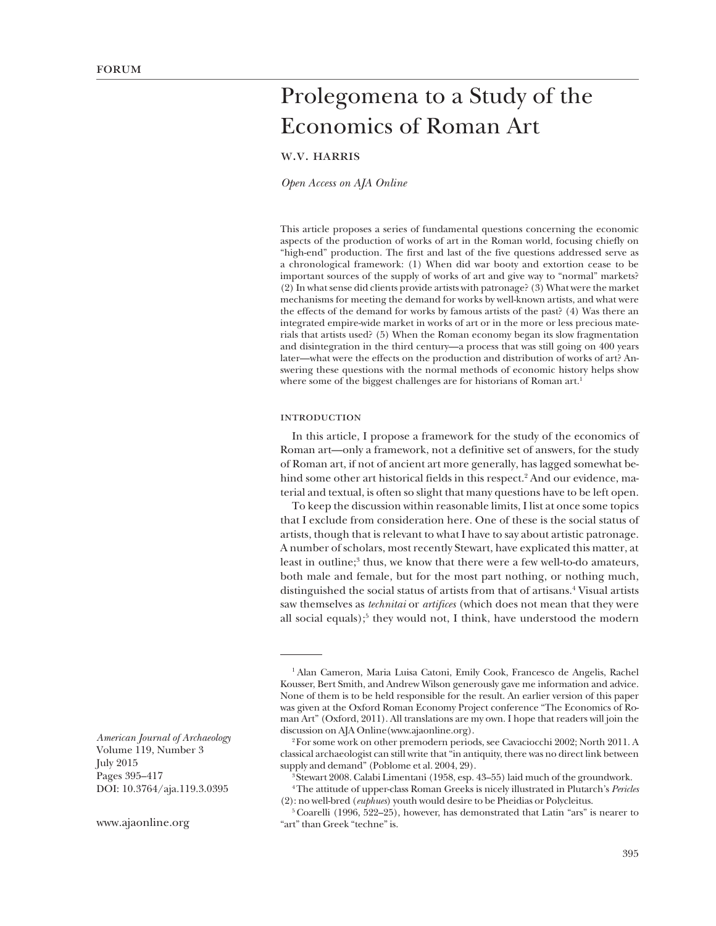# Prolegomena to a Study of the Economics of Roman Art

# w.v. harris

## *[Open Access on AJA Online](http://www.ajaonline.org/forum/2132)*

This article proposes a series of fundamental questions concerning the economic aspects of the production of works of art in the Roman world, focusing chiefly on "high-end" production. The first and last of the five questions addressed serve as a chronological framework: (1) When did war booty and extortion cease to be important sources of the supply of works of art and give way to "normal" markets? (2) In what sense did clients provide artists with patronage? (3) What were the market mechanisms for meeting the demand for works by well-known artists, and what were the effects of the demand for works by famous artists of the past? (4) Was there an integrated empire-wide market in works of art or in the more or less precious materials that artists used? (5) When the Roman economy began its slow fragmentation and disintegration in the third century—a process that was still going on 400 years later—what were the effects on the production and distribution of works of art? Answering these questions with the normal methods of economic history helps show where some of the biggest challenges are for historians of Roman art.<sup>1</sup>

## **INTRODUCTION**

In this article, I propose a framework for the study of the economics of Roman art—only a framework, not a definitive set of answers, for the study of Roman art, if not of ancient art more generally, has lagged somewhat behind some other art historical fields in this respect.<sup>2</sup> And our evidence, material and textual, is often so slight that many questions have to be left open.

To keep the discussion within reasonable limits, I list at once some topics that I exclude from consideration here. One of these is the social status of artists, though that is relevant to what I have to say about artistic patronage. A number of scholars, most recently Stewart, have explicated this matter, at least in outline;<sup>3</sup> thus, we know that there were a few well-to-do amateurs, both male and female, but for the most part nothing, or nothing much, distinguished the social status of artists from that of artisans.<sup>4</sup> Visual artists saw themselves as *technitai* or *artifices* (which does not mean that they were all social equals);<sup>5</sup> they would not, I think, have understood the modern

*American Journal of Archaeology* Volume 119, Number 3 July 2015 Pages 395–417 DOI: 10.3764/aja.119.3.0395

<sup>1</sup> Alan Cameron, Maria Luisa Catoni, Emily Cook, Francesco de Angelis, Rachel Kousser, Bert Smith, and Andrew Wilson generously gave me information and advice. None of them is to be held responsible for the result. An earlier version of this paper was given at the Oxford Roman Economy Project conference "The Economics of Roman Art" (Oxford, 2011). All translations are my own. I hope that readers will join the discussion on AJA Online[\(www.ajaonline.org](http://www.ajaonline.org/forum/2132)).

<sup>2</sup> For some work on other premodern periods, see Cavaciocchi 2002; North 2011. A classical archaeologist can still write that "in antiquity, there was no direct link between supply and demand" (Poblome et al. 2004, 29).

 $3$ Stewart 2008. Calabi Limentani (1958, esp. 43–55) laid much of the groundwork.

<sup>4</sup> The attitude of upper-class Roman Greeks is nicely illustrated in Plutarch's *Pericles*  (2): no well-bred (*euphues*) youth would desire to be Pheidias or Polycleitus. 5 Coarelli (1996, 522–25), however, has demonstrated that Latin "ars" is nearer to

<sup>&</sup>quot;art" than Greek "techne" is.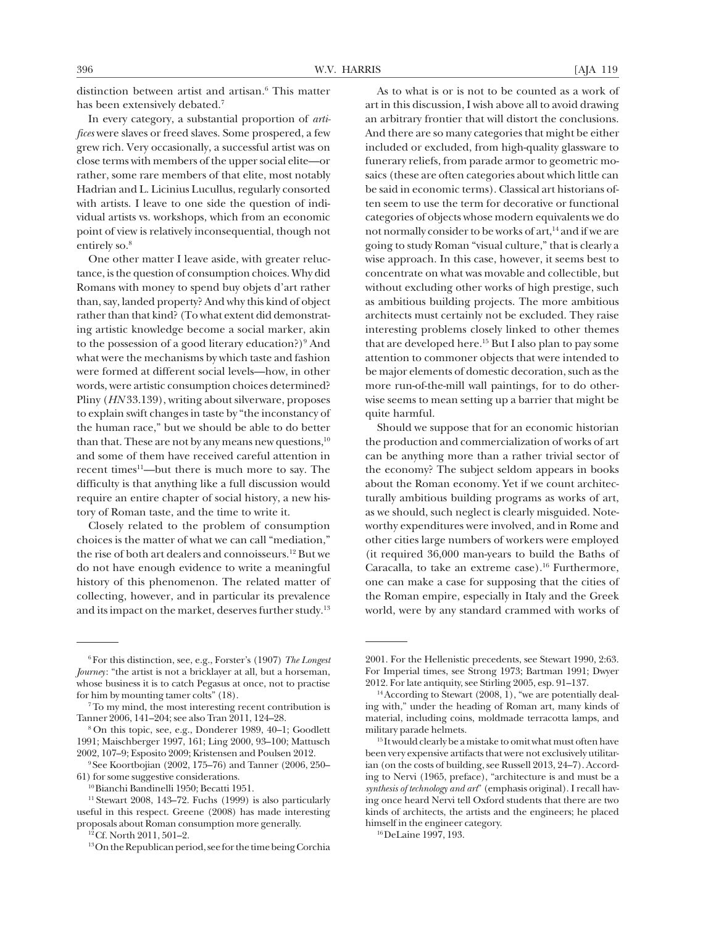distinction between artist and artisan.<sup>6</sup> This matter has been extensively debated.<sup>7</sup>

In every category, a substantial proportion of *artifices* were slaves or freed slaves. Some prospered, a few grew rich. Very occasionally, a successful artist was on close terms with members of the upper social elite—or rather, some rare members of that elite, most notably Hadrian and L. Licinius Lucullus, regularly consorted with artists. I leave to one side the question of individual artists vs. workshops, which from an economic point of view is relatively inconsequential, though not entirely so.<sup>8</sup>

One other matter I leave aside, with greater reluctance, is the question of consumption choices. Why did Romans with money to spend buy objets d'art rather than, say, landed property? And why this kind of object rather than that kind? (To what extent did demonstrating artistic knowledge become a social marker, akin to the possession of a good literary education?) $9$  And what were the mechanisms by which taste and fashion were formed at different social levels—how, in other words, were artistic consumption choices determined? Pliny (*HN* 33.139), writing about silverware, proposes to explain swift changes in taste by "the inconstancy of the human race," but we should be able to do better than that. These are not by any means new questions,<sup>10</sup> and some of them have received careful attention in recent times<sup>11</sup>—but there is much more to say. The difficulty is that anything like a full discussion would require an entire chapter of social history, a new history of Roman taste, and the time to write it.

Closely related to the problem of consumption choices is the matter of what we can call "mediation," the rise of both art dealers and connoisseurs.<sup>12</sup> But we do not have enough evidence to write a meaningful history of this phenomenon. The related matter of collecting, however, and in particular its prevalence and its impact on the market, deserves further study.<sup>13</sup>

 $12$  Cf. North 2011, 501-2.

As to what is or is not to be counted as a work of art in this discussion, I wish above all to avoid drawing an arbitrary frontier that will distort the conclusions. And there are so many categories that might be either included or excluded, from high-quality glassware to funerary reliefs, from parade armor to geometric mosaics (these are often categories about which little can be said in economic terms). Classical art historians often seem to use the term for decorative or functional categories of objects whose modern equivalents we do not normally consider to be works of art,<sup>14</sup> and if we are going to study Roman "visual culture," that is clearly a wise approach. In this case, however, it seems best to concentrate on what was movable and collectible, but without excluding other works of high prestige, such as ambitious building projects. The more ambitious architects must certainly not be excluded. They raise interesting problems closely linked to other themes that are developed here.15 But I also plan to pay some attention to commoner objects that were intended to be major elements of domestic decoration, such as the more run-of-the-mill wall paintings, for to do otherwise seems to mean setting up a barrier that might be quite harmful.

Should we suppose that for an economic historian the production and commercialization of works of art can be anything more than a rather trivial sector of the economy? The subject seldom appears in books about the Roman economy. Yet if we count architecturally ambitious building programs as works of art, as we should, such neglect is clearly misguided. Noteworthy expenditures were involved, and in Rome and other cities large numbers of workers were employed (it required 36,000 man-years to build the Baths of Caracalla, to take an extreme case).<sup>16</sup> Furthermore, one can make a case for supposing that the cities of the Roman empire, especially in Italy and the Greek world, were by any standard crammed with works of

<sup>6</sup> For this distinction, see, e.g., Forster's (1907) *The Longest Journey*: "the artist is not a bricklayer at all, but a horseman, whose business it is to catch Pegasus at once, not to practise for him by mounting tamer colts" (18).<br><sup>7</sup> To my mind, the most interesting recent contribution is

Tanner 2006, 141–204; see also Tran 2011, 124–28.

<sup>8</sup> On this topic, see, e.g., Donderer 1989, 40–1; Goodlett 1991; Maischberger 1997, 161; Ling 2000, 93–100; Mattusch 2002, 107–9; Esposito 2009; Kristensen and Poulsen 2012. 9 See Koortbojian (2002, 175–76) and Tanner (2006, 250–

<sup>61)</sup> for some suggestive considerations.

<sup>10</sup> Bianchi Bandinelli 1950; Becatti 1951.

 $11$  Stewart 2008, 143-72. Fuchs (1999) is also particularly useful in this respect. Greene (2008) has made interesting proposals about Roman consumption more generally.

<sup>13</sup> On the Republican period, see for the time being Corchia

<sup>2001.</sup> For the Hellenistic precedents, see Stewart 1990, 2:63. For Imperial times, see Strong 1973; Bartman 1991; Dwyer 2012. For late antiquity, see Stirling 2005, esp. 91–137.

<sup>&</sup>lt;sup>14</sup> According to Stewart (2008, 1), "we are potentially dealing with," under the heading of Roman art, many kinds of material, including coins, moldmade terracotta lamps, and military parade helmets.

<sup>&</sup>lt;sup>15</sup> It would clearly be a mistake to omit what must often have been very expensive artifacts that were not exclusively utilitarian (on the costs of building, see Russell 2013, 24–7). According to Nervi (1965, preface), "architecture is and must be a *synthesis of technology and art*" (emphasis original). I recall having once heard Nervi tell Oxford students that there are two kinds of architects, the artists and the engineers; he placed himself in the engineer category.<br><sup>16</sup> DeLaine 1997, 193.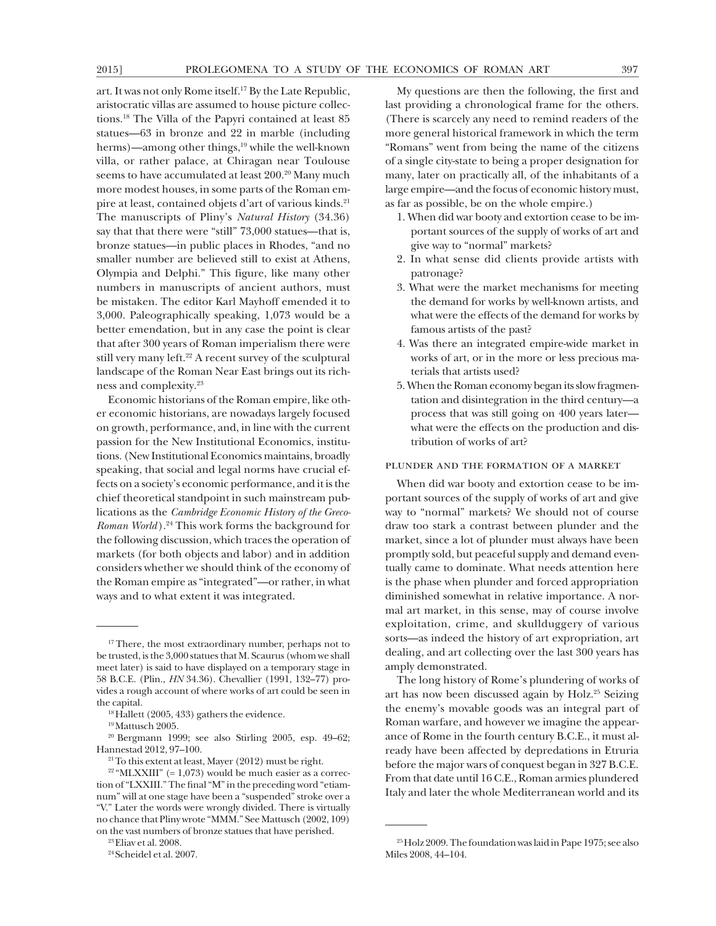art. It was not only Rome itself.17 By the Late Republic, aristocratic villas are assumed to house picture collections.18 The Villa of the Papyri contained at least 85 statues—63 in bronze and 22 in marble (including herms)—among other things,<sup>19</sup> while the well-known villa, or rather palace, at Chiragan near Toulouse seems to have accumulated at least 200.<sup>20</sup> Many much more modest houses, in some parts of the Roman empire at least, contained objets d'art of various kinds.21 The manuscripts of Pliny's *Natural History* (34.36) say that that there were "still" 73,000 statues—that is, bronze statues—in public places in Rhodes, "and no smaller number are believed still to exist at Athens, Olympia and Delphi." This figure, like many other numbers in manuscripts of ancient authors, must be mistaken. The editor Karl Mayhoff emended it to 3,000. Paleographically speaking, 1,073 would be a better emendation, but in any case the point is clear that after 300 years of Roman imperialism there were still very many left.<sup>22</sup> A recent survey of the sculptural landscape of the Roman Near East brings out its richness and complexity.23

Economic historians of the Roman empire, like other economic historians, are nowadays largely focused on growth, performance, and, in line with the current passion for the New Institutional Economics, institutions. (New Institutional Economics maintains, broadly speaking, that social and legal norms have crucial effects on a society's economic performance, and it is the chief theoretical standpoint in such mainstream publications as the *Cambridge Economic History of the Greco-Roman World*).24 This work forms the background for the following discussion, which traces the operation of markets (for both objects and labor) and in addition considers whether we should think of the economy of the Roman empire as "integrated"—or rather, in what ways and to what extent it was integrated.

My questions are then the following, the first and last providing a chronological frame for the others. (There is scarcely any need to remind readers of the more general historical framework in which the term "Romans" went from being the name of the citizens of a single city-state to being a proper designation for many, later on practically all, of the inhabitants of a large empire—and the focus of economic history must, as far as possible, be on the whole empire.)

- 1. When did war booty and extortion cease to be important sources of the supply of works of art and give way to "normal" markets?
- 2. In what sense did clients provide artists with patronage?
- 3. What were the market mechanisms for meeting the demand for works by well-known artists, and what were the effects of the demand for works by famous artists of the past?
- 4. Was there an integrated empire-wide market in works of art, or in the more or less precious materials that artists used?
- 5. When the Roman economy began its slow fragmentation and disintegration in the third century—a process that was still going on 400 years later what were the effects on the production and distribution of works of art?

## plunder and the formation of a market

When did war booty and extortion cease to be important sources of the supply of works of art and give way to "normal" markets? We should not of course draw too stark a contrast between plunder and the market, since a lot of plunder must always have been promptly sold, but peaceful supply and demand eventually came to dominate. What needs attention here is the phase when plunder and forced appropriation diminished somewhat in relative importance. A normal art market, in this sense, may of course involve exploitation, crime, and skullduggery of various sorts—as indeed the history of art expropriation, art dealing, and art collecting over the last 300 years has amply demonstrated.

The long history of Rome's plundering of works of art has now been discussed again by Holz.25 Seizing the enemy's movable goods was an integral part of Roman warfare, and however we imagine the appearance of Rome in the fourth century B.C.E., it must already have been affected by depredations in Etruria before the major wars of conquest began in 327 B.C.E. From that date until 16 C.E., Roman armies plundered Italy and later the whole Mediterranean world and its

<sup>&</sup>lt;sup>17</sup> There, the most extraordinary number, perhaps not to be trusted, is the 3,000 statues that M. Scaurus (whom we shall meet later) is said to have displayed on a temporary stage in 58 B.C.E. (Plin., *HN* 34.36). Chevallier (1991, 132–77) provides a rough account of where works of art could be seen in the capital.

<sup>&</sup>lt;sup>18</sup> Hallett (2005, 433) gathers the evidence.

<sup>19</sup> Mattusch 2005.

<sup>20</sup> Bergmann 1999; see also Stirling 2005, esp. 49–62; Hannestad 2012, 97–100.<br><sup>21</sup> To this extent at least, Mayer (2012) must be right.

 $22$  "MLXXIII" (= 1,073) would be much easier as a correction of "LXXIII." The final "M" in the preceding word "etiamnum" will at one stage have been a "suspended" stroke over a "V." Later the words were wrongly divided. There is virtually no chance that Pliny wrote "MMM." See Mattusch (2002, 109) on the vast numbers of bronze statues that have perished. 23 Eliav et al. 2008.

<sup>24</sup> Scheidel et al. 2007.

<sup>25</sup> Holz 2009. The foundation was laid in Pape 1975; see also Miles 2008, 44–104.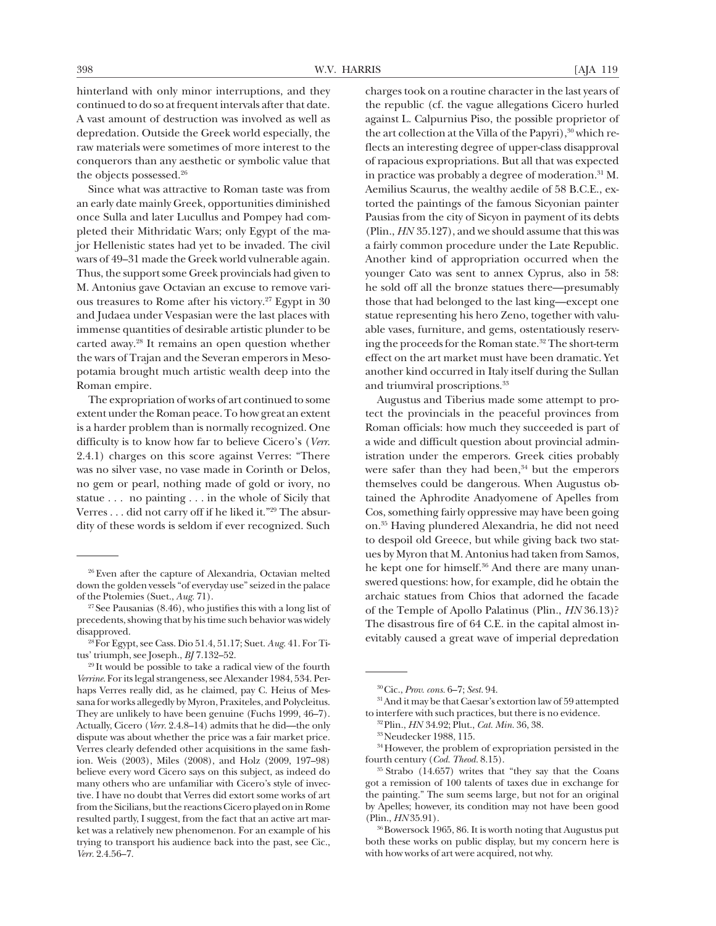hinterland with only minor interruptions, and they continued to do so at frequent intervals after that date. A vast amount of destruction was involved as well as depredation. Outside the Greek world especially, the raw materials were sometimes of more interest to the conquerors than any aesthetic or symbolic value that the objects possessed.26

Since what was attractive to Roman taste was from an early date mainly Greek, opportunities diminished once Sulla and later Lucullus and Pompey had completed their Mithridatic Wars; only Egypt of the major Hellenistic states had yet to be invaded. The civil wars of 49–31 made the Greek world vulnerable again. Thus, the support some Greek provincials had given to M. Antonius gave Octavian an excuse to remove various treasures to Rome after his victory.<sup>27</sup> Egypt in 30 and Judaea under Vespasian were the last places with immense quantities of desirable artistic plunder to be carted away.28 It remains an open question whether the wars of Trajan and the Severan emperors in Mesopotamia brought much artistic wealth deep into the Roman empire.

The expropriation of works of art continued to some extent under the Roman peace. To how great an extent is a harder problem than is normally recognized. One difficulty is to know how far to believe Cicero's (*Verr*. 2.4.1) charges on this score against Verres: "There was no silver vase, no vase made in Corinth or Delos, no gem or pearl, nothing made of gold or ivory, no statue . . . no painting . . . in the whole of Sicily that Verres . . . did not carry off if he liked it."<sup>29</sup> The absurdity of these words is seldom if ever recognized. Such charges took on a routine character in the last years of the republic (cf. the vague allegations Cicero hurled against L. Calpurnius Piso, the possible proprietor of the art collection at the Villa of the Papyri), $30$  which reflects an interesting degree of upper-class disapproval of rapacious expropriations. But all that was expected in practice was probably a degree of moderation.<sup>31</sup> M. Aemilius Scaurus, the wealthy aedile of 58 B.C.E., extorted the paintings of the famous Sicyonian painter Pausias from the city of Sicyon in payment of its debts (Plin., *HN* 35.127), and we should assume that this was a fairly common procedure under the Late Republic. Another kind of appropriation occurred when the younger Cato was sent to annex Cyprus, also in 58: he sold off all the bronze statues there—presumably those that had belonged to the last king—except one statue representing his hero Zeno, together with valuable vases, furniture, and gems, ostentatiously reserving the proceeds for the Roman state.<sup>32</sup> The short-term effect on the art market must have been dramatic. Yet another kind occurred in Italy itself during the Sullan and triumviral proscriptions.<sup>33</sup>

Augustus and Tiberius made some attempt to protect the provincials in the peaceful provinces from Roman officials: how much they succeeded is part of a wide and difficult question about provincial administration under the emperors. Greek cities probably were safer than they had been, $34$  but the emperors themselves could be dangerous. When Augustus obtained the Aphrodite Anadyomene of Apelles from Cos, something fairly oppressive may have been going on.35 Having plundered Alexandria, he did not need to despoil old Greece, but while giving back two statues by Myron that M. Antonius had taken from Samos, he kept one for himself.<sup>36</sup> And there are many unanswered questions: how, for example, did he obtain the archaic statues from Chios that adorned the facade of the Temple of Apollo Palatinus (Plin., *HN* 36.13)? The disastrous fire of 64 C.E. in the capital almost inevitably caused a great wave of imperial depredation

<sup>26</sup> Even after the capture of Alexandria, Octavian melted down the golden vessels "of everyday use" seized in the palace of the Ptolemies (Suet., *Aug.* 71).

<sup>27</sup> See Pausanias (8.46), who justifies this with a long list of precedents, showing that by his time such behavior was widely disapproved. 28 For Egypt, see Cass. Dio 51.4, 51.17; Suet. *Aug*. 41. For Ti-

tus' triumph, see Joseph., *BJ* 7.132–52.

<sup>&</sup>lt;sup>29</sup> It would be possible to take a radical view of the fourth *Verrine*. For its legal strangeness, see Alexander 1984, 534. Perhaps Verres really did, as he claimed, pay C. Heius of Messana for works allegedly by Myron, Praxiteles, and Polycleitus. They are unlikely to have been genuine (Fuchs 1999, 46–7). Actually, Cicero (*Verr*. 2.4.8–14) admits that he did—the only dispute was about whether the price was a fair market price. Verres clearly defended other acquisitions in the same fashion. Weis (2003), Miles (2008), and Holz (2009, 197–98) believe every word Cicero says on this subject, as indeed do many others who are unfamiliar with Cicero's style of invective. I have no doubt that Verres did extort some works of art from the Sicilians, but the reactions Cicero played on in Rome resulted partly, I suggest, from the fact that an active art market was a relatively new phenomenon. For an example of his trying to transport his audience back into the past, see Cic., *Verr*. 2.4.56–7.

<sup>30</sup> Cic., *Prov. cons.* 6–7; *Sest.* 94.

<sup>31</sup> And it may be that Caesar's extortion law of 59 attempted to interfere with such practices, but there is no evidence.

<sup>32</sup> Plin., *HN* 34.92; Plut., *Cat. Min.* 36, 38. 33 Neudecker 1988, 115.

<sup>34</sup> However, the problem of expropriation persisted in the fourth century (*Cod. Theod.* 8.15).

 $35$  Strabo (14.657) writes that "they say that the Coans got a remission of 100 talents of taxes due in exchange for the painting." The sum seems large, but not for an original by Apelles; however, its condition may not have been good (Plin., *HN* 35.91).

<sup>36</sup> Bowersock 1965, 86. It is worth noting that Augustus put both these works on public display, but my concern here is with how works of art were acquired, not why.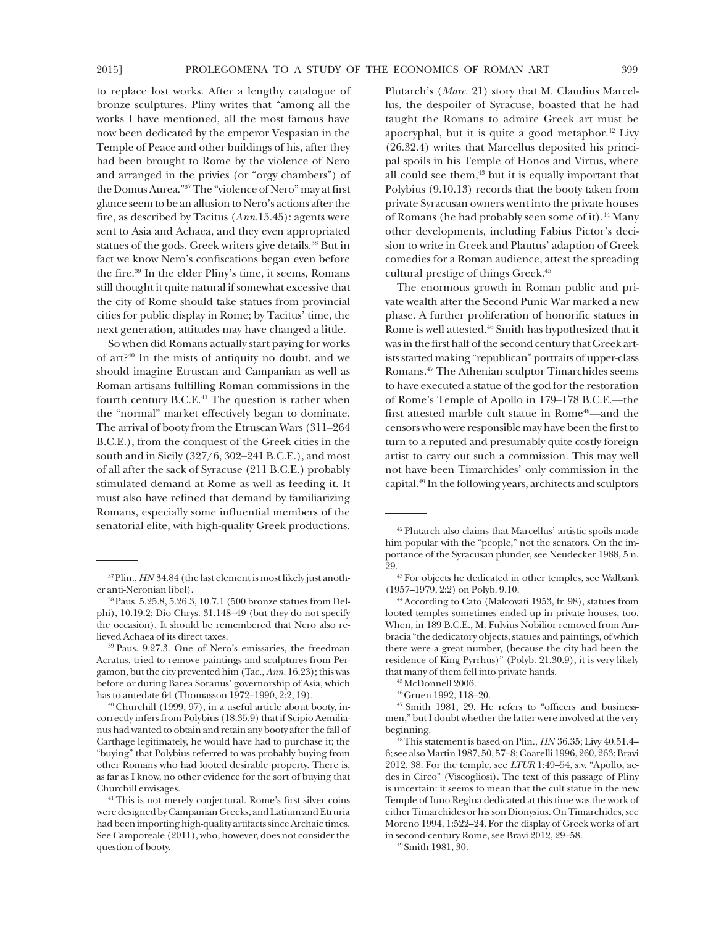to replace lost works. After a lengthy catalogue of bronze sculptures, Pliny writes that "among all the works I have mentioned, all the most famous have now been dedicated by the emperor Vespasian in the Temple of Peace and other buildings of his, after they had been brought to Rome by the violence of Nero and arranged in the privies (or "orgy chambers") of the Domus Aurea."37 The "violence of Nero" may at first glance seem to be an allusion to Nero's actions after the fire, as described by Tacitus (*Ann.*15.45): agents were sent to Asia and Achaea, and they even appropriated statues of the gods. Greek writers give details.<sup>38</sup> But in fact we know Nero's confiscations began even before the fire.39 In the elder Pliny's time, it seems, Romans still thought it quite natural if somewhat excessive that the city of Rome should take statues from provincial cities for public display in Rome; by Tacitus' time, the next generation, attitudes may have changed a little.

So when did Romans actually start paying for works of art?40 In the mists of antiquity no doubt, and we should imagine Etruscan and Campanian as well as Roman artisans fulfilling Roman commissions in the fourth century B.C.E.<sup>41</sup> The question is rather when the "normal" market effectively began to dominate. The arrival of booty from the Etruscan Wars (311–264 B.C.E.), from the conquest of the Greek cities in the south and in Sicily (327/6, 302–241 B.C.E.), and most of all after the sack of Syracuse (211 B.C.E.) probably stimulated demand at Rome as well as feeding it. It must also have refined that demand by familiarizing Romans, especially some influential members of the senatorial elite, with high-quality Greek productions.

Plutarch's (*Marc.* 21) story that M. Claudius Marcellus, the despoiler of Syracuse, boasted that he had taught the Romans to admire Greek art must be apocryphal, but it is quite a good metaphor.<sup>42</sup> Livy (26.32.4) writes that Marcellus deposited his principal spoils in his Temple of Honos and Virtus, where all could see them, $43$  but it is equally important that Polybius (9.10.13) records that the booty taken from private Syracusan owners went into the private houses of Romans (he had probably seen some of it).<sup>44</sup> Many other developments, including Fabius Pictor's decision to write in Greek and Plautus' adaption of Greek comedies for a Roman audience, attest the spreading cultural prestige of things Greek.45

The enormous growth in Roman public and private wealth after the Second Punic War marked a new phase. A further proliferation of honorific statues in Rome is well attested.<sup>46</sup> Smith has hypothesized that it was in the first half of the second century that Greek artists started making "republican" portraits of upper-class Romans.47 The Athenian sculptor Timarchides seems to have executed a statue of the god for the restoration of Rome's Temple of Apollo in 179–178 B.C.E.—the first attested marble cult statue in Rome<sup>48</sup>—and the censors who were responsible may have been the first to turn to a reputed and presumably quite costly foreign artist to carry out such a commission. This may well not have been Timarchides' only commission in the capital.49 In the following years, architects and sculptors

44 According to Cato (Malcovati 1953, fr. 98), statues from looted temples sometimes ended up in private houses, too. When, in 189 B.C.E., M. Fulvius Nobilior removed from Ambracia "the dedicatory objects, statues and paintings, of which there were a great number, (because the city had been the residence of King Pyrrhus)" (Polyb. 21.30.9), it is very likely that many of them fell into private hands.

45 McDonnell 2006.

<sup>&</sup>lt;sup>37</sup> Plin., *HN* 34.84 (the last element is most likely just another anti-Neronian libel). 38 Paus. 5.25.8, 5.26.3, 10.7.1 (500 bronze statues from Del-

phi), 10.19.2; Dio Chrys. 31.148–49 (but they do not specify the occasion). It should be remembered that Nero also relieved Achaea of its direct taxes. 39 Paus. 9.27.3. One of Nero's emissaries, the freedman

Acratus, tried to remove paintings and sculptures from Pergamon, but the city prevented him (Tac., *Ann.* 16.23); this was before or during Barea Soranus' governorship of Asia, which has to antedate 64 (Thomasson 1972–1990, 2:2, 19).

<sup>40</sup> Churchill (1999, 97), in a useful article about booty, incorrectly infers from Polybius (18.35.9) that if Scipio Aemilianus had wanted to obtain and retain any booty after the fall of Carthage legitimately, he would have had to purchase it; the "buying" that Polybius referred to was probably buying from other Romans who had looted desirable property. There is, as far as I know, no other evidence for the sort of buying that Churchill envisages. 41 This is not merely conjectural. Rome's first silver coins

were designed by Campanian Greeks, and Latium and Etruria had been importing high-quality artifacts since Archaic times. See Camporeale (2011), who, however, does not consider the question of booty.

<sup>42</sup> Plutarch also claims that Marcellus' artistic spoils made him popular with the "people," not the senators. On the importance of the Syracusan plunder, see Neudecker 1988, 5 n.

<sup>29.</sup> $^{43}$  For objects he dedicated in other temples, see Walbank (1957–1979, 2:2) on Polyb. 9.10.

<sup>46</sup> Gruen 1992, 118–20.

<sup>47</sup> Smith 1981, 29. He refers to "officers and businessmen," but I doubt whether the latter were involved at the very beginning.

<sup>48</sup> This statement is based on Plin., *HN* 36.35; Livy 40.51.4– 6; see also Martin 1987, 50, 57–8; Coarelli 1996, 260, 263; Bravi 2012, 38. For the temple, see *LTUR* 1:49–54, s.v. "Apollo, aedes in Circo" (Viscogliosi). The text of this passage of Pliny is uncertain: it seems to mean that the cult statue in the new Temple of Iuno Regina dedicated at this time was the work of either Timarchides or his son Dionysius. On Timarchides, see Moreno 1994, 1:522–24. For the display of Greek works of art in second-century Rome, see Bravi 2012, 29–58. 49 Smith 1981, 30.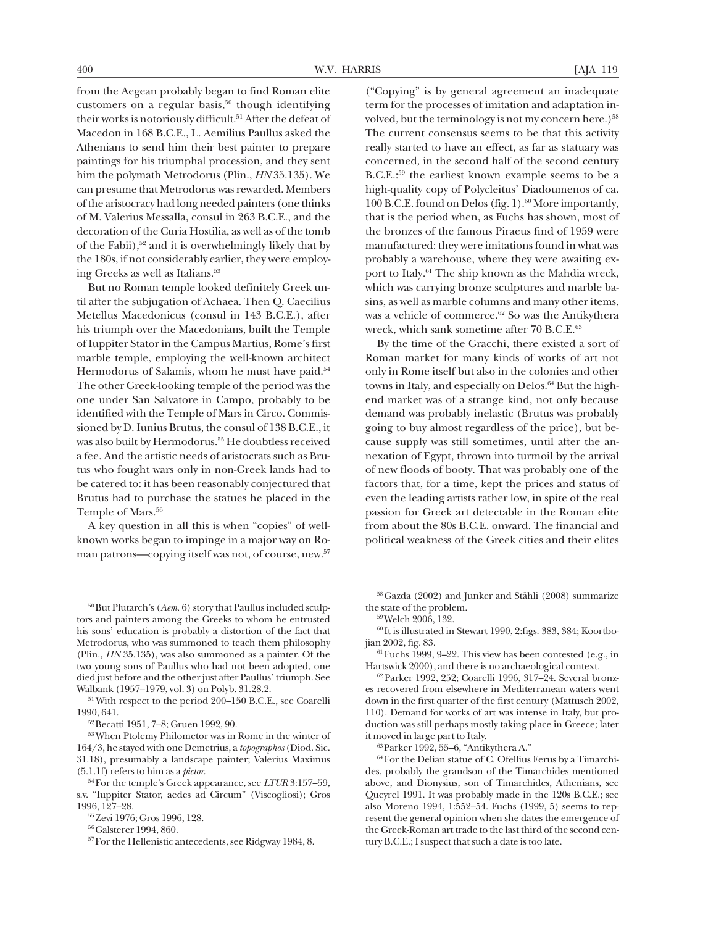from the Aegean probably began to find Roman elite customers on a regular basis, $50$  though identifying their works is notoriously difficult.<sup>51</sup> After the defeat of Macedon in 168 B.C.E., L. Aemilius Paullus asked the Athenians to send him their best painter to prepare paintings for his triumphal procession, and they sent him the polymath Metrodorus (Plin., *HN* 35.135). We can presume that Metrodorus was rewarded. Members of the aristocracy had long needed painters (one thinks of M. Valerius Messalla, consul in 263 B.C.E., and the decoration of the Curia Hostilia, as well as of the tomb of the Fabii), $52$  and it is overwhelmingly likely that by the 180s, if not considerably earlier, they were employing Greeks as well as Italians.<sup>53</sup>

But no Roman temple looked definitely Greek until after the subjugation of Achaea. Then Q. Caecilius Metellus Macedonicus (consul in 143 B.C.E.), after his triumph over the Macedonians, built the Temple of Iuppiter Stator in the Campus Martius, Rome's first marble temple, employing the well-known architect Hermodorus of Salamis, whom he must have paid.<sup>54</sup> The other Greek-looking temple of the period was the one under San Salvatore in Campo, probably to be identified with the Temple of Mars in Circo. Commissioned by D. Iunius Brutus, the consul of 138 B.C.E., it was also built by Hermodorus.<sup>55</sup> He doubtless received a fee. And the artistic needs of aristocrats such as Brutus who fought wars only in non-Greek lands had to be catered to: it has been reasonably conjectured that Brutus had to purchase the statues he placed in the Temple of Mars.<sup>56</sup>

A key question in all this is when "copies" of wellknown works began to impinge in a major way on Roman patrons—copying itself was not, of course, new.57 ("Copying" is by general agreement an inadequate term for the processes of imitation and adaptation involved, but the terminology is not my concern here.)<sup>58</sup> The current consensus seems to be that this activity really started to have an effect, as far as statuary was concerned, in the second half of the second century B.C.E.:59 the earliest known example seems to be a high-quality copy of Polycleitus' Diadoumenos of ca. 100 B.C.E. found on Delos (fig. 1). $^{60}$  More importantly, that is the period when, as Fuchs has shown, most of the bronzes of the famous Piraeus find of 1959 were manufactured: they were imitations found in what was probably a warehouse, where they were awaiting export to Italy.<sup>61</sup> The ship known as the Mahdia wreck, which was carrying bronze sculptures and marble basins, as well as marble columns and many other items, was a vehicle of commerce.<sup>62</sup> So was the Antikythera wreck, which sank sometime after 70 B.C.E.<sup>63</sup>

By the time of the Gracchi, there existed a sort of Roman market for many kinds of works of art not only in Rome itself but also in the colonies and other towns in Italy, and especially on Delos.<sup>64</sup> But the highend market was of a strange kind, not only because demand was probably inelastic (Brutus was probably going to buy almost regardless of the price), but because supply was still sometimes, until after the annexation of Egypt, thrown into turmoil by the arrival of new floods of booty. That was probably one of the factors that, for a time, kept the prices and status of even the leading artists rather low, in spite of the real passion for Greek art detectable in the Roman elite from about the 80s B.C.E. onward. The financial and political weakness of the Greek cities and their elites

63 Parker 1992, 55–6, "Antikythera A."

64 For the Delian statue of C. Ofellius Ferus by a Timarchides, probably the grandson of the Timarchides mentioned above, and Dionysius, son of Timarchides, Athenians, see Queyrel 1991. It was probably made in the 120s B.C.E.; see also Moreno 1994, 1:552–54. Fuchs (1999, 5) seems to represent the general opinion when she dates the emergence of the Greek-Roman art trade to the last third of the second century B.C.E.; I suspect that such a date is too late.

<sup>50</sup> But Plutarch's (*Aem.* 6) story that Paullus included sculptors and painters among the Greeks to whom he entrusted his sons' education is probably a distortion of the fact that Metrodorus, who was summoned to teach them philosophy (Plin., *HN* 35.135), was also summoned as a painter. Of the two young sons of Paullus who had not been adopted, one died just before and the other just after Paullus' triumph. See Walbank (1957–1979, vol. 3) on Polyb. 31.28.2.

<sup>51</sup> With respect to the period 200–150 B.C.E., see Coarelli 1990, 641.

<sup>52</sup> Becatti 1951, 7–8; Gruen 1992, 90.

<sup>53</sup> When Ptolemy Philometor was in Rome in the winter of 164/3, he stayed with one Demetrius, a *topographos* (Diod. Sic. 31.18), presumably a landscape painter; Valerius Maximus (5.1.1f) refers to him as a *pictor*.

<sup>54</sup> For the temple's Greek appearance, see *LTUR* 3:157–59, s.v. "Iuppiter Stator, aedes ad Circum" (Viscogliosi); Gros 1996, 127–28. 55 Zevi 1976; Gros 1996, 128.

<sup>56</sup> Galsterer 1994, 860.

<sup>57</sup> For the Hellenistic antecedents, see Ridgway 1984, 8.

<sup>58</sup> Gazda (2002) and Junker and Stähli (2008) summarize the state of the problem.

<sup>59</sup> Welch 2006, 132.

<sup>60</sup> It is illustrated in Stewart 1990, 2:figs. 383, 384; Koortbojian 2002, fig. 83.

 $61$  Fuchs 1999, 9–22. This view has been contested (e.g., in Hartswick 2000), and there is no archaeological context. 62 Parker 1992, 252; Coarelli 1996, 317–24. Several bronz-

es recovered from elsewhere in Mediterranean waters went down in the first quarter of the first century (Mattusch 2002, 110). Demand for works of art was intense in Italy, but production was still perhaps mostly taking place in Greece; later it moved in large part to Italy.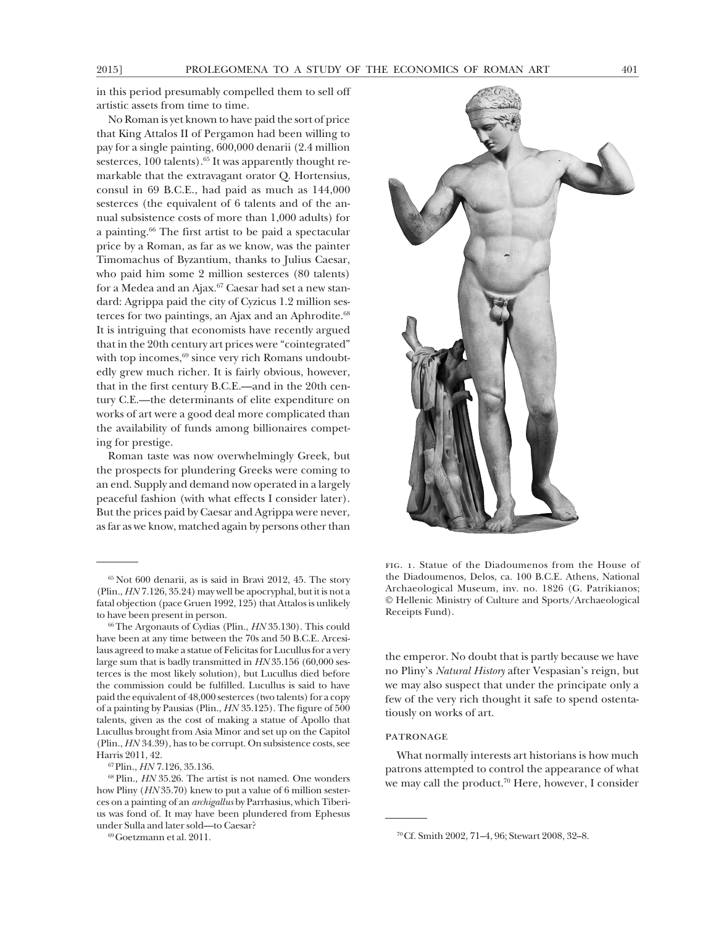in this period presumably compelled them to sell off artistic assets from time to time.

No Roman is yet known to have paid the sort of price that King Attalos II of Pergamon had been willing to pay for a single painting, 600,000 denarii (2.4 million sesterces,  $100$  talents).<sup>65</sup> It was apparently thought remarkable that the extravagant orator Q. Hortensius, consul in 69 B.C.E., had paid as much as 144,000 sesterces (the equivalent of 6 talents and of the annual subsistence costs of more than 1,000 adults) for a painting.66 The first artist to be paid a spectacular price by a Roman, as far as we know, was the painter Timomachus of Byzantium, thanks to Julius Caesar, who paid him some 2 million sesterces (80 talents) for a Medea and an Ajax.<sup>67</sup> Caesar had set a new standard: Agrippa paid the city of Cyzicus 1.2 million sesterces for two paintings, an Ajax and an Aphrodite.<sup>68</sup> It is intriguing that economists have recently argued that in the 20th century art prices were "cointegrated" with top incomes,<sup>69</sup> since very rich Romans undoubtedly grew much richer. It is fairly obvious, however, that in the first century B.C.E.—and in the 20th century C.E.—the determinants of elite expenditure on works of art were a good deal more complicated than the availability of funds among billionaires competing for prestige.

Roman taste was now overwhelmingly Greek, but the prospects for plundering Greeks were coming to an end. Supply and demand now operated in a largely peaceful fashion (with what effects I consider later). But the prices paid by Caesar and Agrippa were never, as far as we know, matched again by persons other than

67 Plin., *HN* 7.126, 35.136.



fig. 1. Statue of the Diadoumenos from the House of the Diadoumenos, Delos, ca. 100 B.C.E. Athens, National Archaeological Museum, inv. no. 1826 (G. Patrikianos; © Hellenic Ministry of Culture and Sports/Archaeological Receipts Fund).

the emperor. No doubt that is partly because we have no Pliny's *Natural History* after Vespasian's reign, but we may also suspect that under the principate only a few of the very rich thought it safe to spend ostentatiously on works of art.

## **PATRONAGE**

What normally interests art historians is how much patrons attempted to control the appearance of what we may call the product.<sup>70</sup> Here, however, I consider

<sup>65</sup> Not 600 denarii, as is said in Bravi 2012, 45. The story (Plin., *HN* 7.126, 35.24) may well be apocryphal, but it is not a fatal objection (pace Gruen 1992, 125) that Attalos is unlikely to have been present in person.

<sup>66</sup> The Argonauts of Cydias (Plin., *HN* 35.130). This could have been at any time between the 70s and 50 B.C.E. Arcesilaus agreed to make a statue of Felicitas for Lucullus for a very large sum that is badly transmitted in *HN* 35.156 (60,000 sesterces is the most likely solution), but Lucullus died before the commission could be fulfilled. Lucullus is said to have paid the equivalent of 48,000 sesterces (two talents) for a copy of a painting by Pausias (Plin., *HN* 35.125). The figure of 500 talents, given as the cost of making a statue of Apollo that Lucullus brought from Asia Minor and set up on the Capitol (Plin., *HN* 34.39), has to be corrupt. On subsistence costs, see Harris 2011, 42.

<sup>68</sup> Plin., *HN* 35.26. The artist is not named. One wonders how Pliny (*HN* 35.70) knew to put a value of 6 million sesterces on a painting of an *archigallus* by Parrhasius, which Tiberius was fond of. It may have been plundered from Ephesus under Sulla and later sold—to Caesar? 69 Goetzmann et al. 2011.

<sup>70</sup> Cf. Smith 2002, 71–4, 96; Stewart 2008, 32–8.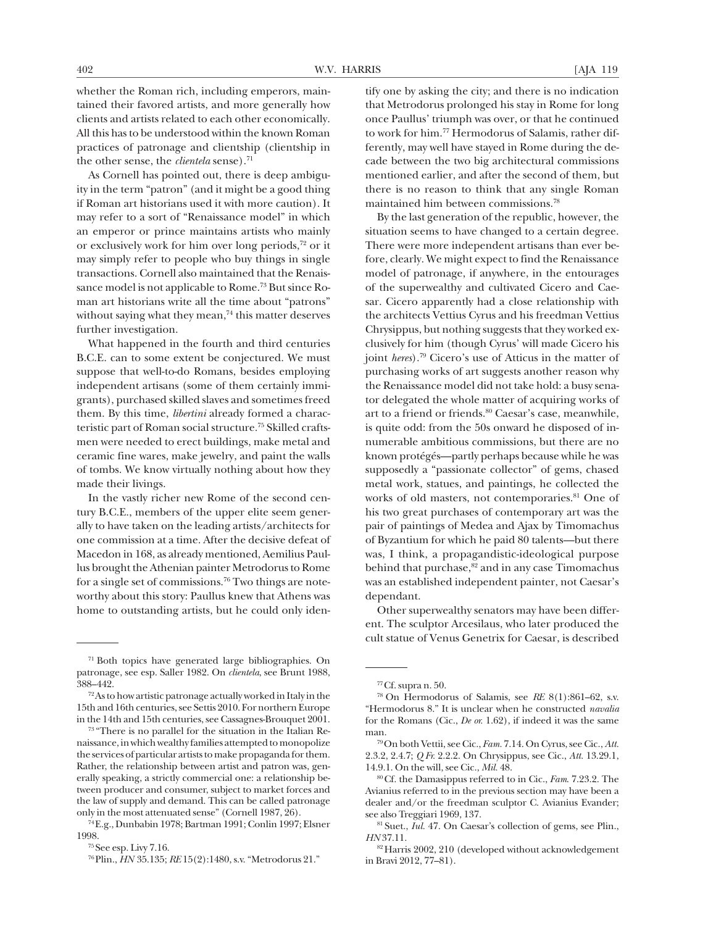whether the Roman rich, including emperors, maintained their favored artists, and more generally how clients and artists related to each other economically. All this has to be understood within the known Roman practices of patronage and clientship (clientship in the other sense, the *clientela* sense).<sup>71</sup>

As Cornell has pointed out, there is deep ambiguity in the term "patron" (and it might be a good thing if Roman art historians used it with more caution). It may refer to a sort of "Renaissance model" in which an emperor or prince maintains artists who mainly or exclusively work for him over long periods,72 or it may simply refer to people who buy things in single transactions. Cornell also maintained that the Renaissance model is not applicable to Rome.<sup>73</sup> But since Roman art historians write all the time about "patrons" without saying what they mean,<sup>74</sup> this matter deserves further investigation.

What happened in the fourth and third centuries B.C.E. can to some extent be conjectured. We must suppose that well-to-do Romans, besides employing independent artisans (some of them certainly immigrants), purchased skilled slaves and sometimes freed them. By this time, *libertini* already formed a characteristic part of Roman social structure.75 Skilled craftsmen were needed to erect buildings, make metal and ceramic fine wares, make jewelry, and paint the walls of tombs. We know virtually nothing about how they made their livings.

In the vastly richer new Rome of the second century B.C.E., members of the upper elite seem generally to have taken on the leading artists/architects for one commission at a time. After the decisive defeat of Macedon in 168, as already mentioned, Aemilius Paullus brought the Athenian painter Metrodorus to Rome for a single set of commissions.<sup>76</sup> Two things are noteworthy about this story: Paullus knew that Athens was home to outstanding artists, but he could only identify one by asking the city; and there is no indication that Metrodorus prolonged his stay in Rome for long once Paullus' triumph was over, or that he continued to work for him.77 Hermodorus of Salamis, rather differently, may well have stayed in Rome during the decade between the two big architectural commissions mentioned earlier, and after the second of them, but there is no reason to think that any single Roman maintained him between commissions.78

By the last generation of the republic, however, the situation seems to have changed to a certain degree. There were more independent artisans than ever before, clearly. We might expect to find the Renaissance model of patronage, if anywhere, in the entourages of the superwealthy and cultivated Cicero and Caesar. Cicero apparently had a close relationship with the architects Vettius Cyrus and his freedman Vettius Chrysippus, but nothing suggests that they worked exclusively for him (though Cyrus' will made Cicero his joint *heres*).79 Cicero's use of Atticus in the matter of purchasing works of art suggests another reason why the Renaissance model did not take hold: a busy senator delegated the whole matter of acquiring works of art to a friend or friends.<sup>80</sup> Caesar's case, meanwhile, is quite odd: from the 50s onward he disposed of innumerable ambitious commissions, but there are no known protégés—partly perhaps because while he was supposedly a "passionate collector" of gems, chased metal work, statues, and paintings, he collected the works of old masters, not contemporaries.<sup>81</sup> One of his two great purchases of contemporary art was the pair of paintings of Medea and Ajax by Timomachus of Byzantium for which he paid 80 talents—but there was, I think, a propagandistic-ideological purpose behind that purchase,<sup>82</sup> and in any case Timomachus was an established independent painter, not Caesar's dependant.

Other superwealthy senators may have been different. The sculptor Arcesilaus, who later produced the cult statue of Venus Genetrix for Caesar, is described

<sup>71</sup> Both topics have generated large bibliographies. On patronage, see esp. Saller 1982. On *clientela*, see Brunt 1988, 388–442.

<sup>72</sup> As to how artistic patronage actually worked in Italy in the 15th and 16th centuries, see Settis 2010. For northern Europe in the 14th and 15th centuries, see Cassagnes-Brouquet 2001.

<sup>73 &</sup>quot;There is no parallel for the situation in the Italian Renaissance, in which wealthy families attempted to monopolize the services of particular artists to make propaganda for them. Rather, the relationship between artist and patron was, generally speaking, a strictly commercial one: a relationship between producer and consumer, subject to market forces and the law of supply and demand. This can be called patronage only in the most attenuated sense" (Cornell 1987, 26).

<sup>74</sup> E.g., Dunbabin 1978; Bartman 1991; Conlin 1997; Elsner 1998. 75 See esp. Livy 7.16.

<sup>76</sup> Plin., *HN* 35.135; *RE* 15(2):1480, s.v. "Metrodorus 21."

<sup>77</sup> Cf. supra n. 50.

<sup>78</sup> On Hermodorus of Salamis, see *RE* 8(1):861–62, s.v. "Hermodorus 8." It is unclear when he constructed *navalia* for the Romans (Cic., *De or.* 1.62), if indeed it was the same man.

<sup>79</sup> On both Vettii, see Cic., *Fam.* 7.14. On Cyrus, see Cic., *Att.* 2.3.2, 2.4.7; *Q Fr.* 2.2.2. On Chrysippus, see Cic., *Att.* 13.29.1, 14.9.1. On the will, see Cic., *Mil.* 48.

<sup>80</sup> Cf. the Damasippus referred to in Cic., *Fam*. 7.23.2. The Avianius referred to in the previous section may have been a dealer and/or the freedman sculptor C. Avianius Evander; see also Treggiari 1969, 137.<br><sup>81</sup> Suet., *Iul.* 47. On Caesar's collection of gems, see Plin.,

*HN* 37.11.

<sup>&</sup>lt;sup>82</sup> Harris 2002, 210 (developed without acknowledgement in Bravi 2012, 77–81).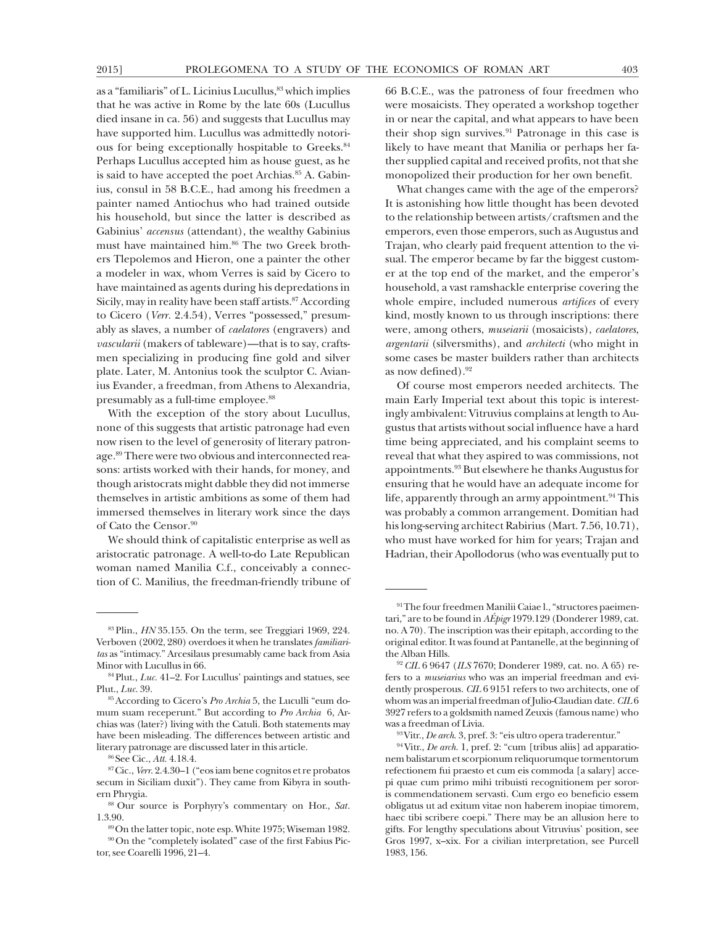as a "familiaris" of L. Licinius Lucullus,<sup>83</sup> which implies that he was active in Rome by the late 60s (Lucullus died insane in ca. 56) and suggests that Lucullus may have supported him. Lucullus was admittedly notorious for being exceptionally hospitable to Greeks.<sup>84</sup> Perhaps Lucullus accepted him as house guest, as he is said to have accepted the poet Archias.<sup>85</sup> A. Gabinius, consul in 58 B.C.E., had among his freedmen a painter named Antiochus who had trained outside his household, but since the latter is described as Gabinius' *accensus* (attendant), the wealthy Gabinius must have maintained him.<sup>86</sup> The two Greek brothers Tlepolemos and Hieron, one a painter the other a modeler in wax, whom Verres is said by Cicero to have maintained as agents during his depredations in Sicily, may in reality have been staff artists.<sup>87</sup> According to Cicero (*Verr.* 2.4.54), Verres "possessed," presumably as slaves, a number of *caelatores* (engravers) and *vascularii* (makers of tableware)—that is to say, craftsmen specializing in producing fine gold and silver plate. Later, M. Antonius took the sculptor C. Avianius Evander, a freedman, from Athens to Alexandria, presumably as a full-time employee.88

With the exception of the story about Lucullus, none of this suggests that artistic patronage had even now risen to the level of generosity of literary patronage.89 There were two obvious and interconnected reasons: artists worked with their hands, for money, and though aristocrats might dabble they did not immerse themselves in artistic ambitions as some of them had immersed themselves in literary work since the days of Cato the Censor.90

We should think of capitalistic enterprise as well as aristocratic patronage. A well-to-do Late Republican woman named Manilia C.f., conceivably a connection of C. Manilius, the freedman-friendly tribune of

66 B.C.E., was the patroness of four freedmen who were mosaicists. They operated a workshop together in or near the capital, and what appears to have been their shop sign survives.<sup>91</sup> Patronage in this case is likely to have meant that Manilia or perhaps her father supplied capital and received profits, not that she monopolized their production for her own benefit.

What changes came with the age of the emperors? It is astonishing how little thought has been devoted to the relationship between artists/craftsmen and the emperors, even those emperors, such as Augustus and Trajan, who clearly paid frequent attention to the visual. The emperor became by far the biggest customer at the top end of the market, and the emperor's household, a vast ramshackle enterprise covering the whole empire, included numerous *artifices* of every kind, mostly known to us through inscriptions: there were, among others, *museiarii* (mosaicists), *caelatores*, *argentarii* (silversmiths), and *architecti* (who might in some cases be master builders rather than architects as now defined).92

Of course most emperors needed architects. The main Early Imperial text about this topic is interestingly ambivalent: Vitruvius complains at length to Augustus that artists without social influence have a hard time being appreciated, and his complaint seems to reveal that what they aspired to was commissions, not appointments.93 But elsewhere he thanks Augustus for ensuring that he would have an adequate income for life, apparently through an army appointment.<sup>94</sup> This was probably a common arrangement. Domitian had his long-serving architect Rabirius (Mart. 7.56, 10.71), who must have worked for him for years; Trajan and Hadrian, their Apollodorus (who was eventually put to

<sup>83</sup> Plin., *HN* 35.155. On the term, see Treggiari 1969, 224. Verboven (2002, 280) overdoes it when he translates *familiaritas* as "intimacy." Arcesilaus presumably came back from Asia

Minor with Lucullus in 66. 84 Plut., *Luc.* 41–2. For Lucullus' paintings and statues, see Plut., *Luc.* 39.

<sup>85</sup> According to Cicero's *Pro Archia* 5, the Luculli "eum domum suam receperunt." But according to *Pro Archia* 6, Archias was (later?) living with the Catuli. Both statements may have been misleading. The differences between artistic and literary patronage are discussed later in this article.

<sup>86</sup> See Cic., *Att.* 4.18.4.

<sup>87</sup> Cic., *Verr*. 2.4.30–1 ("eos iam bene cognitos et re probatos secum in Siciliam duxit"). They came from Kibyra in southern Phrygia. 88 Our source is Porphyry's commentary on Hor., *Sat*.

<sup>1.3.90.</sup>  $\frac{\text{89}}{\text{On the latter topic, note esp. White 1975; Wisconsin 1982.}}$ 

<sup>&</sup>lt;sup>90</sup> On the "completely isolated" case of the first Fabius Pic-

tor, see Coarelli 1996, 21–4.

<sup>&</sup>lt;sup>91</sup> The four freedmen Manilii Caiae l., "structores paeimentari," are to be found in *AÉpigr* 1979.129 (Donderer 1989, cat. no. A 70). The inscription was their epitaph, according to the original editor. It was found at Pantanelle, at the beginning of the Alban Hills. 92 *CIL* 6 9647 (*ILS* 7670; Donderer 1989, cat. no. A 65) re-

fers to a *museiarius* who was an imperial freedman and evidently prosperous. *CIL* 6 9151 refers to two architects, one of whom was an imperial freedman of Julio-Claudian date. *CIL* 6 3927 refers to a goldsmith named Zeuxis (famous name) who was a freedman of Livia. 93 Vitr., *De arch*. 3, pref. 3: "eis ultro opera traderentur."

<sup>&</sup>lt;sup>94</sup> Vitr., *De arch*. 1, pref. 2: "cum [tribus aliis] ad apparationem balistarum et scorpionum reliquorumque tormentorum refectionem fui praesto et cum eis commoda [a salary] accepi quae cum primo mihi tribuisti recognitionem per sororis commendationem servasti. Cum ergo eo beneficio essem obligatus ut ad exitum vitae non haberem inopiae timorem, haec tibi scribere coepi." There may be an allusion here to gifts. For lengthy speculations about Vitruvius' position, see Gros 1997, x–xix. For a civilian interpretation, see Purcell 1983, 156.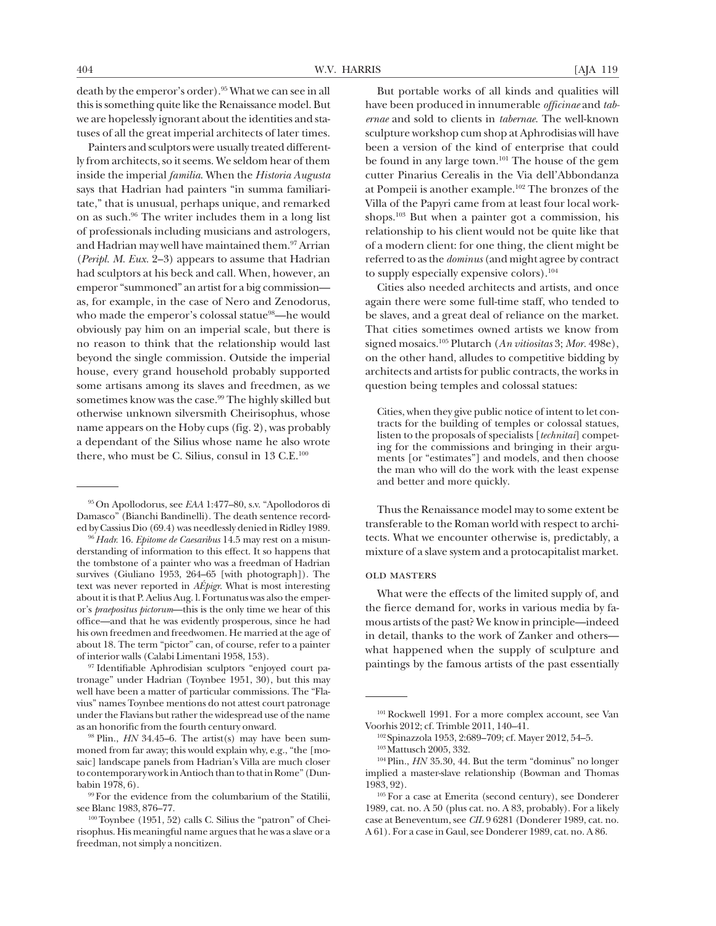Painters and sculptors were usually treated differently from architects, so it seems. We seldom hear of them inside the imperial *familia*. When the *Historia Augusta* says that Hadrian had painters "in summa familiaritate," that is unusual, perhaps unique, and remarked on as such.96 The writer includes them in a long list of professionals including musicians and astrologers, and Hadrian may well have maintained them.<sup>97</sup> Arrian (*Peripl. M. Eux.* 2–3) appears to assume that Hadrian had sculptors at his beck and call. When, however, an emperor "summoned" an artist for a big commission as, for example, in the case of Nero and Zenodorus, who made the emperor's colossal statue<sup>98</sup>—he would obviously pay him on an imperial scale, but there is no reason to think that the relationship would last beyond the single commission. Outside the imperial house, every grand household probably supported some artisans among its slaves and freedmen, as we sometimes know was the case.<sup>99</sup> The highly skilled but otherwise unknown silversmith Cheirisophus, whose name appears on the Hoby cups (fig. 2), was probably a dependant of the Silius whose name he also wrote there, who must be C. Silius, consul in 13 C.E.<sup>100</sup>

95 On Apollodorus, see *EAA* 1:477–80, s.v. "Apollodoros di Damasco" (Bianchi Bandinelli). The death sentence recorded by Cassius Dio (69.4) was needlessly denied in Ridley 1989.

96 *Hadr.* 16. *Epitome de Caesaribus* 14.5 may rest on a misunderstanding of information to this effect. It so happens that the tombstone of a painter who was a freedman of Hadrian survives (Giuliano 1953, 264–65 [with photograph]). The text was never reported in *AÉpigr*. What is most interesting about it is that P. Aelius Aug. l. Fortunatus was also the emperor's *praepositus pictorum*—this is the only time we hear of this office—and that he was evidently prosperous, since he had his own freedmen and freedwomen. He married at the age of about 18. The term "pictor" can, of course, refer to a painter of interior walls (Calabi Limentani 1958, 153).

97 Identifiable Aphrodisian sculptors "enjoyed court patronage" under Hadrian (Toynbee 1951, 30), but this may well have been a matter of particular commissions. The "Flavius" names Toynbee mentions do not attest court patronage under the Flavians but rather the widespread use of the name as an honorific from the fourth century onward.

<sup>98</sup> Plin., *HN* 34.45-6. The artist(s) may have been summoned from far away; this would explain why, e.g., "the [mosaic] landscape panels from Hadrian's Villa are much closer to contemporary work in Antioch than to that in Rome" (Dunbabin 1978, 6).<br><sup>99</sup> For the evidence from the columbarium of the Statilii,

see Blanc 1983, 876–77.

But portable works of all kinds and qualities will have been produced in innumerable *officinae* and *tabernae* and sold to clients in *tabernae*. The well-known sculpture workshop cum shop at Aphrodisias will have been a version of the kind of enterprise that could be found in any large town.<sup>101</sup> The house of the gem cutter Pinarius Cerealis in the Via dell'Abbondanza at Pompeii is another example.102 The bronzes of the Villa of the Papyri came from at least four local workshops.103 But when a painter got a commission, his relationship to his client would not be quite like that of a modern client: for one thing, the client might be referred to as the *dominus* (and might agree by contract to supply especially expensive colors).<sup>104</sup>

Cities also needed architects and artists, and once again there were some full-time staff, who tended to be slaves, and a great deal of reliance on the market. That cities sometimes owned artists we know from signed mosaics.105 Plutarch (*An vitiositas* 3; *Mor.* 498e), on the other hand, alludes to competitive bidding by architects and artists for public contracts, the works in question being temples and colossal statues:

Cities, when they give public notice of intent to let contracts for the building of temples or colossal statues, listen to the proposals of specialists [*technitai*] competing for the commissions and bringing in their arguments [or "estimates"] and models, and then choose the man who will do the work with the least expense and better and more quickly.

Thus the Renaissance model may to some extent be transferable to the Roman world with respect to architects. What we encounter otherwise is, predictably, a mixture of a slave system and a protocapitalist market.

### old masters

What were the effects of the limited supply of, and the fierce demand for, works in various media by famous artists of the past? We know in principle—indeed in detail, thanks to the work of Zanker and others what happened when the supply of sculpture and paintings by the famous artists of the past essentially

<sup>100</sup> Toynbee (1951, 52) calls C. Silius the "patron" of Cheirisophus. His meaningful name argues that he was a slave or a freedman, not simply a noncitizen.

<sup>101</sup> Rockwell 1991. For a more complex account, see Van Voorhis 2012; cf. Trimble 2011, 140–41.

<sup>102</sup> Spinazzola 1953, 2:689–709; cf. Mayer 2012, 54–5. 103 Mattusch 2005, 332.

<sup>&</sup>lt;sup>104</sup> Plin., *HN* 35.30, 44. But the term "dominus" no longer implied a master-slave relationship (Bowman and Thomas 1983, 92).

<sup>105</sup> For a case at Emerita (second century), see Donderer 1989, cat. no. A 50 (plus cat. no. A 83, probably). For a likely case at Beneventum, see *CIL* 9 6281 (Donderer 1989, cat. no. A 61). For a case in Gaul, see Donderer 1989, cat. no. A 86.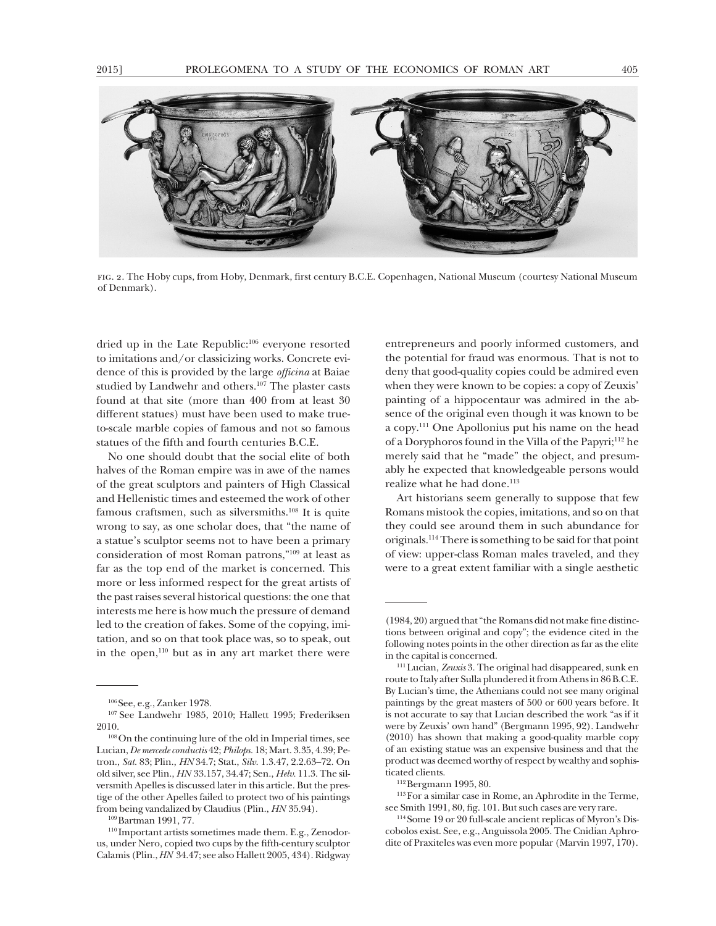

fig. 2. The Hoby cups, from Hoby, Denmark, first century B.C.E. Copenhagen, National Museum (courtesy National Museum of Denmark).

dried up in the Late Republic:<sup>106</sup> everyone resorted to imitations and/or classicizing works. Concrete evidence of this is provided by the large *officina* at Baiae studied by Landwehr and others.107 The plaster casts found at that site (more than 400 from at least 30 different statues) must have been used to make trueto-scale marble copies of famous and not so famous statues of the fifth and fourth centuries B.C.E.

No one should doubt that the social elite of both halves of the Roman empire was in awe of the names of the great sculptors and painters of High Classical and Hellenistic times and esteemed the work of other famous craftsmen, such as silversmiths.108 It is quite wrong to say, as one scholar does, that "the name of a statue's sculptor seems not to have been a primary consideration of most Roman patrons,"109 at least as far as the top end of the market is concerned. This more or less informed respect for the great artists of the past raises several historical questions: the one that interests me here is how much the pressure of demand led to the creation of fakes. Some of the copying, imitation, and so on that took place was, so to speak, out in the open,110 but as in any art market there were

entrepreneurs and poorly informed customers, and the potential for fraud was enormous. That is not to deny that good-quality copies could be admired even when they were known to be copies: a copy of Zeuxis' painting of a hippocentaur was admired in the absence of the original even though it was known to be a copy.111 One Apollonius put his name on the head of a Doryphoros found in the Villa of the Papyri;<sup>112</sup> he merely said that he "made" the object, and presumably he expected that knowledgeable persons would realize what he had done.<sup>113</sup>

Art historians seem generally to suppose that few Romans mistook the copies, imitations, and so on that they could see around them in such abundance for originals.114 There is something to be said for that point of view: upper-class Roman males traveled, and they were to a great extent familiar with a single aesthetic

 $^{106}$ See, e.g., Zanker 1978. 2010; Hallett 1995; Frederiksen  $^{107}$ See Landwehr 1985, 2010; Hallett 1995; Frederiksen 2010.

<sup>&</sup>lt;sup>108</sup> On the continuing lure of the old in Imperial times, see Lucian, *De mercede conductis* 42; *Philops.* 18; Mart. 3.35, 4.39; Petron., *Sat.* 83; Plin., *HN* 34.7; Stat., *Silv*. 1.3.47, 2.2.63–72. On old silver, see Plin., *HN* 33.157, 34.47; Sen., *Helv.* 11.3. The silversmith Apelles is discussed later in this article. But the prestige of the other Apelles failed to protect two of his paintings from being vandalized by Claudius (Plin., *HN* 35.94).

<sup>109</sup> Bartman 1991, 77.

<sup>110</sup> Important artists sometimes made them. E.g., Zenodorus, under Nero, copied two cups by the fifth-century sculptor Calamis (Plin., *HN* 34.47; see also Hallett 2005, 434). Ridgway

<sup>(1984, 20)</sup> argued that "the Romans did not make fine distinctions between original and copy"; the evidence cited in the following notes points in the other direction as far as the elite in the capital is concerned.

<sup>111</sup> Lucian, *Zeuxis* 3. The original had disappeared, sunk en route to Italy after Sulla plundered it from Athens in 86 B.C.E. By Lucian's time, the Athenians could not see many original paintings by the great masters of 500 or 600 years before. It is not accurate to say that Lucian described the work "as if it were by Zeuxis' own hand" (Bergmann 1995, 92). Landwehr (2010) has shown that making a good-quality marble copy of an existing statue was an expensive business and that the product was deemed worthy of respect by wealthy and sophisticated clients.

<sup>112</sup> Bergmann 1995, 80.

<sup>113</sup> For a similar case in Rome, an Aphrodite in the Terme, see Smith 1991, 80, fig. 101. But such cases are very rare.

<sup>114</sup> Some 19 or 20 full-scale ancient replicas of Myron's Discobolos exist. See, e.g., Anguissola 2005. The Cnidian Aphrodite of Praxiteles was even more popular (Marvin 1997, 170).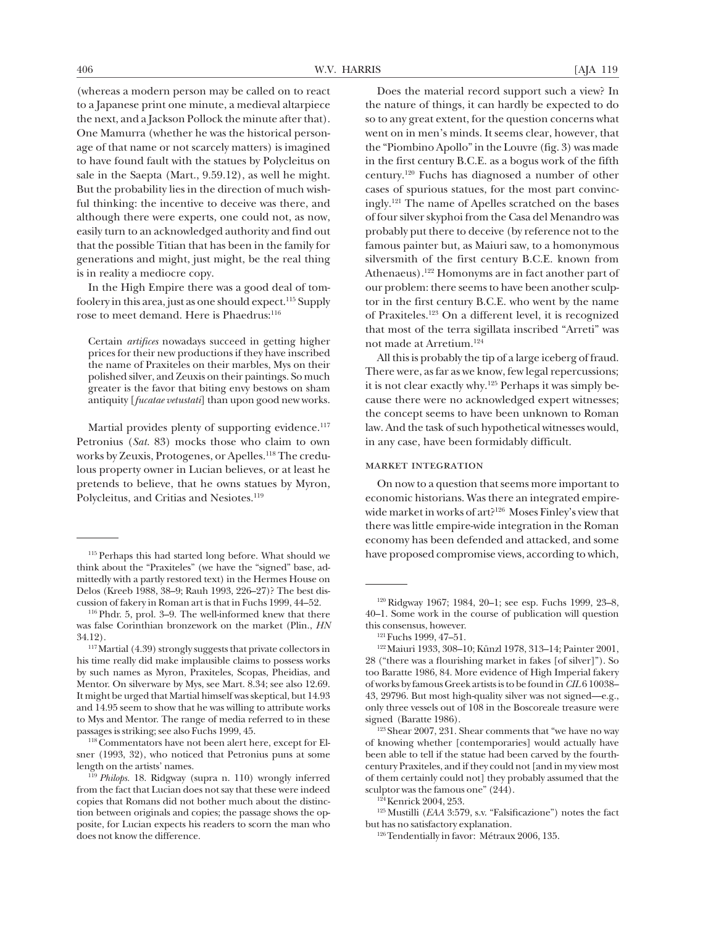(whereas a modern person may be called on to react to a Japanese print one minute, a medieval altarpiece the next, and a Jackson Pollock the minute after that). One Mamurra (whether he was the historical personage of that name or not scarcely matters) is imagined to have found fault with the statues by Polycleitus on sale in the Saepta (Mart., 9.59.12), as well he might. But the probability lies in the direction of much wishful thinking: the incentive to deceive was there, and although there were experts, one could not, as now, easily turn to an acknowledged authority and find out that the possible Titian that has been in the family for generations and might, just might, be the real thing is in reality a mediocre copy.

In the High Empire there was a good deal of tomfoolery in this area, just as one should expect.<sup>115</sup> Supply rose to meet demand. Here is Phaedrus:<sup>116</sup>

Certain *artifices* nowadays succeed in getting higher prices for their new productions if they have inscribed the name of Praxiteles on their marbles, Mys on their polished silver, and Zeuxis on their paintings. So much greater is the favor that biting envy bestows on sham antiquity [*fucatae vetustati*] than upon good new works.

Martial provides plenty of supporting evidence.<sup>117</sup> Petronius (*Sat.* 83) mocks those who claim to own works by Zeuxis, Protogenes, or Apelles.<sup>118</sup> The credulous property owner in Lucian believes, or at least he pretends to believe, that he owns statues by Myron, Polycleitus, and Critias and Nesiotes.<sup>119</sup>

118 Commentators have not been alert here, except for Elsner (1993, 32), who noticed that Petronius puns at some length on the artists' names. 119 *Philops.* 18. Ridgway (supra n. 110) wrongly inferred

Does the material record support such a view? In the nature of things, it can hardly be expected to do so to any great extent, for the question concerns what went on in men's minds. It seems clear, however, that the "Piombino Apollo" in the Louvre (fig. 3) was made in the first century B.C.E. as a bogus work of the fifth century.120 Fuchs has diagnosed a number of other cases of spurious statues, for the most part convincingly.121 The name of Apelles scratched on the bases of four silver skyphoi from the Casa del Menandro was probably put there to deceive (by reference not to the famous painter but, as Maiuri saw, to a homonymous silversmith of the first century B.C.E. known from Athenaeus).122 Homonyms are in fact another part of our problem: there seems to have been another sculptor in the first century B.C.E. who went by the name of Praxiteles.123 On a different level, it is recognized that most of the terra sigillata inscribed "Arreti" was not made at Arretium.124

All this is probably the tip of a large iceberg of fraud. There were, as far as we know, few legal repercussions; it is not clear exactly why.<sup>125</sup> Perhaps it was simply because there were no acknowledged expert witnesses; the concept seems to have been unknown to Roman law. And the task of such hypothetical witnesses would, in any case, have been formidably difficult.

## market integration

On now to a question that seems more important to economic historians. Was there an integrated empirewide market in works of art?<sup>126</sup> Moses Finley's view that there was little empire-wide integration in the Roman economy has been defended and attacked, and some have proposed compromise views, according to which,

<sup>124</sup> Kenrick 2004, 253.

<sup>115</sup> Perhaps this had started long before. What should we think about the "Praxiteles" (we have the "signed" base, admittedly with a partly restored text) in the Hermes House on Delos (Kreeb 1988, 38–9; Rauh 1993, 226–27)? The best discussion of fakery in Roman art is that in Fuchs 1999, 44–52.

<sup>116</sup> Phdr. 5, prol. 3–9. The well-informed knew that there was false Corinthian bronzework on the market (Plin., *HN* 34.12).

<sup>117</sup> Martial (4.39) strongly suggests that private collectors in his time really did make implausible claims to possess works by such names as Myron, Praxiteles, Scopas, Pheidias, and Mentor. On silverware by Mys, see Mart. 8.34; see also 12.69. It might be urged that Martial himself was skeptical, but 14.93 and 14.95 seem to show that he was willing to attribute works to Mys and Mentor. The range of media referred to in these passages is striking; see also Fuchs 1999, 45.

from the fact that Lucian does not say that these were indeed copies that Romans did not bother much about the distinction between originals and copies; the passage shows the opposite, for Lucian expects his readers to scorn the man who does not know the difference.

<sup>120</sup> Ridgway 1967; 1984, 20–1; see esp. Fuchs 1999, 23–8, 40–1. Some work in the course of publication will question this consensus, however.

<sup>121</sup> Fuchs 1999, 47–51.

<sup>122</sup> Maiuri 1933, 308–10; Künzl 1978, 313–14; Painter 2001, 28 ("there was a flourishing market in fakes [of silver]"). So too Baratte 1986, 84. More evidence of High Imperial fakery of works by famous Greek artists is to be found in *CIL* 6 10038– 43, 29796. But most high-quality silver was not signed—e.g., only three vessels out of 108 in the Boscoreale treasure were

<sup>&</sup>lt;sup>123</sup> Shear 2007, 231. Shear comments that "we have no way of knowing whether [contemporaries] would actually have been able to tell if the statue had been carved by the fourthcentury Praxiteles, and if they could not [and in my view most of them certainly could not] they probably assumed that the sculptor was the famous one" (244).

<sup>125</sup> Mustilli (*EAA* 3:579, s.v. "Falsificazione") notes the fact but has no satisfactory explanation.

<sup>&</sup>lt;sup>126</sup> Tendentially in favor: Métraux 2006, 135.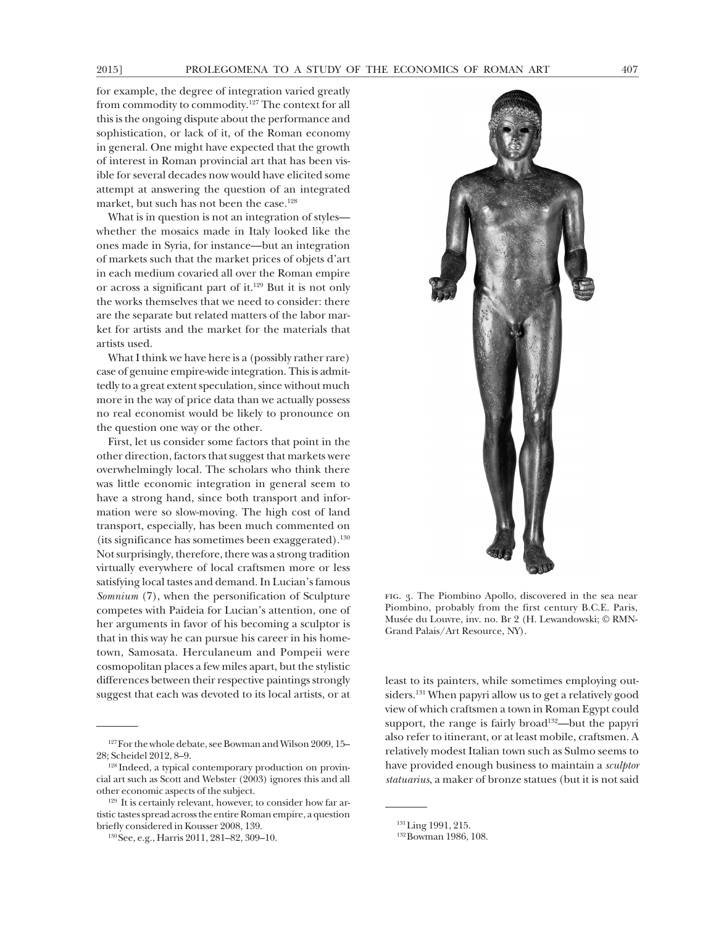for example, the degree of integration varied greatly from commodity to commodity.127 The context for all this is the ongoing dispute about the performance and sophistication, or lack of it, of the Roman economy in general. One might have expected that the growth of interest in Roman provincial art that has been visible for several decades now would have elicited some attempt at answering the question of an integrated market, but such has not been the case.<sup>128</sup>

What is in question is not an integration of styles whether the mosaics made in Italy looked like the ones made in Syria, for instance—but an integration of markets such that the market prices of objets d'art in each medium covaried all over the Roman empire or across a significant part of it.129 But it is not only the works themselves that we need to consider: there are the separate but related matters of the labor market for artists and the market for the materials that artists used.

What I think we have here is a (possibly rather rare) case of genuine empire-wide integration. This is admittedly to a great extent speculation, since without much more in the way of price data than we actually possess no real economist would be likely to pronounce on the question one way or the other.

First, let us consider some factors that point in the other direction, factors that suggest that markets were overwhelmingly local. The scholars who think there was little economic integration in general seem to have a strong hand, since both transport and information were so slow-moving. The high cost of land transport, especially, has been much commented on (its significance has sometimes been exaggerated).130 Not surprisingly, therefore, there was a strong tradition virtually everywhere of local craftsmen more or less satisfying local tastes and demand. In Lucian's famous *Somnium* (7), when the personification of Sculpture competes with Paideia for Lucian's attention, one of her arguments in favor of his becoming a sculptor is that in this way he can pursue his career in his hometown, Samosata. Herculaneum and Pompeii were cosmopolitan places a few miles apart, but the stylistic differences between their respective paintings strongly suggest that each was devoted to its local artists, or at



fig. 3. The Piombino Apollo, discovered in the sea near Piombino, probably from the first century B.C.E. Paris, Musée du Louvre, inv. no. Br 2 (H. Lewandowski; © RMN-Grand Palais/Art Resource, NY).

least to its painters, while sometimes employing outsiders.131 When papyri allow us to get a relatively good view of which craftsmen a town in Roman Egypt could support, the range is fairly broad<sup>132</sup>—but the papyri also refer to itinerant, or at least mobile, craftsmen. A relatively modest Italian town such as Sulmo seems to have provided enough business to maintain a *sculptor statuarius*, a maker of bronze statues (but it is not said

<sup>&</sup>lt;sup>127</sup> For the whole debate, see Bowman and Wilson 2009, 15-28; Scheidel 2012, 8–9.

<sup>&</sup>lt;sup>128</sup> Indeed, a typical contemporary production on provincial art such as Scott and Webster (2003) ignores this and all other economic aspects of the subject.

<sup>&</sup>lt;sup>129</sup> It is certainly relevant, however, to consider how far artistic tastes spread across the entire Roman empire, a question briefly considered in Kousser 2008, 139.

<sup>130</sup> See, e.g., Harris 2011, 281–82, 309–10.

<sup>&</sup>lt;sup>131</sup> Ling 1991, 215.

<sup>&</sup>lt;sup>132</sup> Bowman 1986, 108.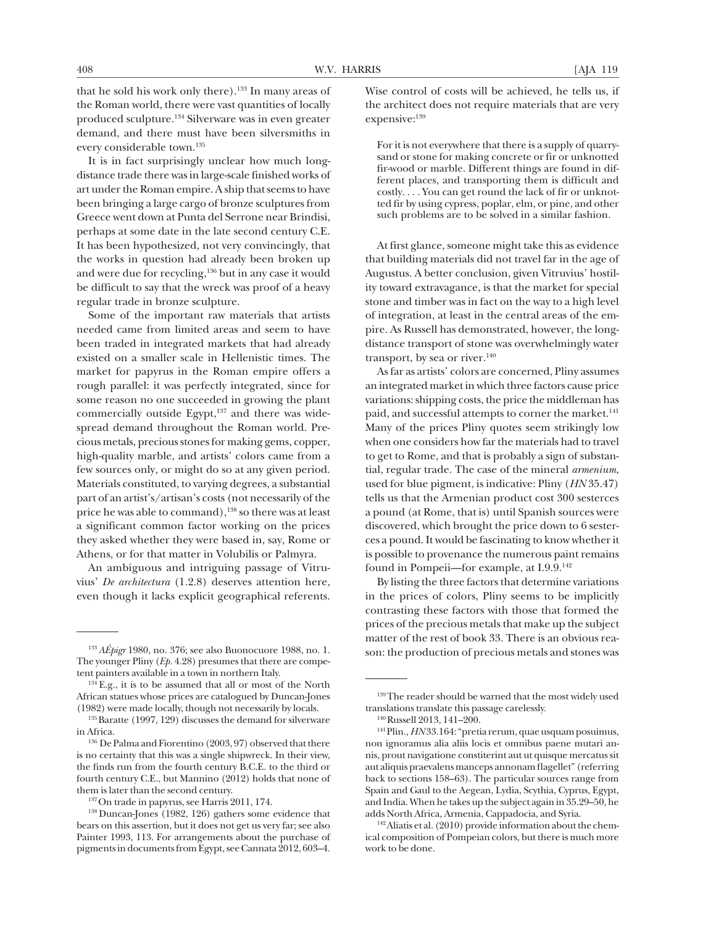that he sold his work only there).<sup>133</sup> In many areas of the Roman world, there were vast quantities of locally produced sculpture.134 Silverware was in even greater demand, and there must have been silversmiths in every considerable town.135

It is in fact surprisingly unclear how much longdistance trade there was in large-scale finished works of art under the Roman empire. A ship that seems to have been bringing a large cargo of bronze sculptures from Greece went down at Punta del Serrone near Brindisi, perhaps at some date in the late second century C.E. It has been hypothesized, not very convincingly, that the works in question had already been broken up and were due for recycling,<sup>136</sup> but in any case it would be difficult to say that the wreck was proof of a heavy regular trade in bronze sculpture.

Some of the important raw materials that artists needed came from limited areas and seem to have been traded in integrated markets that had already existed on a smaller scale in Hellenistic times. The market for papyrus in the Roman empire offers a rough parallel: it was perfectly integrated, since for some reason no one succeeded in growing the plant commercially outside Egypt, $137$  and there was widespread demand throughout the Roman world. Precious metals, precious stones for making gems, copper, high-quality marble, and artists' colors came from a few sources only, or might do so at any given period. Materials constituted, to varying degrees, a substantial part of an artist's/artisan's costs (not necessarily of the price he was able to command),<sup>138</sup> so there was at least a significant common factor working on the prices they asked whether they were based in, say, Rome or Athens, or for that matter in Volubilis or Palmyra.

An ambiguous and intriguing passage of Vitruvius' *De architectura* (1.2.8) deserves attention here, even though it lacks explicit geographical referents. Wise control of costs will be achieved, he tells us, if the architect does not require materials that are very expensive:<sup>139</sup>

For it is not everywhere that there is a supply of quarrysand or stone for making concrete or fir or unknotted fir-wood or marble. Different things are found in different places, and transporting them is difficult and costly. . . . You can get round the lack of fir or unknotted fir by using cypress, poplar, elm, or pine, and other such problems are to be solved in a similar fashion.

At first glance, someone might take this as evidence that building materials did not travel far in the age of Augustus. A better conclusion, given Vitruvius' hostility toward extravagance, is that the market for special stone and timber was in fact on the way to a high level of integration, at least in the central areas of the empire. As Russell has demonstrated, however, the longdistance transport of stone was overwhelmingly water transport, by sea or river. $140$ 

As far as artists' colors are concerned, Pliny assumes an integrated market in which three factors cause price variations: shipping costs, the price the middleman has paid, and successful attempts to corner the market.<sup>141</sup> Many of the prices Pliny quotes seem strikingly low when one considers how far the materials had to travel to get to Rome, and that is probably a sign of substantial, regular trade. The case of the mineral *armenium*, used for blue pigment, is indicative: Pliny (*HN* 35.47) tells us that the Armenian product cost 300 sesterces a pound (at Rome, that is) until Spanish sources were discovered, which brought the price down to 6 sesterces a pound. It would be fascinating to know whether it is possible to provenance the numerous paint remains found in Pompeii—for example, at I.9.9.<sup>142</sup>

By listing the three factors that determine variations in the prices of colors, Pliny seems to be implicitly contrasting these factors with those that formed the prices of the precious metals that make up the subject matter of the rest of book 33. There is an obvious reason: the production of precious metals and stones was

<sup>133</sup>*AÉpigr* 1980, no. 376; see also Buonocuore 1988, no. 1. The younger Pliny (*Ep.* 4.28) presumes that there are competent painters available in a town in northern Italy.  $134$  E.g., it is to be assumed that all or most of the North

African statues whose prices are catalogued by Duncan-Jones (1982) were made locally, though not necessarily by locals. 135 Baratte (1997, 129) discusses the demand for silverware

in Africa.

<sup>136</sup> De Palma and Fiorentino (2003, 97) observed that there is no certainty that this was a single shipwreck. In their view, the finds run from the fourth century B.C.E. to the third or fourth century C.E., but Mannino (2012) holds that none of them is later than the second century.<br><sup>137</sup> On trade in papyrus, see Harris 2011, 174.<br><sup>138</sup> Duncan-Jones (1982, 126) gathers some evidence that

bears on this assertion, but it does not get us very far; see also Painter 1993, 113. For arrangements about the purchase of pigments in documents from Egypt, see Cannata 2012, 603–4.

<sup>&</sup>lt;sup>139</sup> The reader should be warned that the most widely used translations translate this passage carelessly.

<sup>140</sup> Russell 2013, 141–200.

<sup>141</sup> Plin., *HN* 33.164: "pretia rerum, quae usquam posuimus, non ignoramus alia aliis locis et omnibus paene mutari annis, prout navigatione constiterint aut ut quisque mercatus sit aut aliquis praevalens manceps annonam flagellet" (referring back to sections 158–63). The particular sources range from Spain and Gaul to the Aegean, Lydia, Scythia, Cyprus, Egypt, and India. When he takes up the subject again in 35.29–50, he adds North Africa, Armenia, Cappadocia, and Syria. 142 Aliatis et al. (2010) provide information about the chem-

ical composition of Pompeian colors, but there is much more work to be done.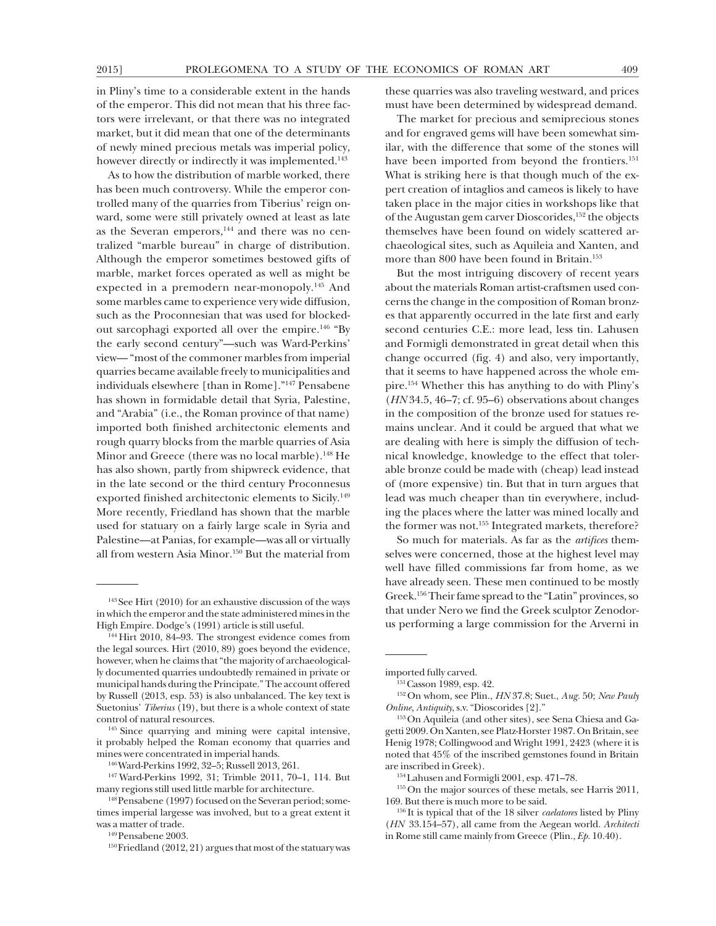in Pliny's time to a considerable extent in the hands of the emperor. This did not mean that his three factors were irrelevant, or that there was no integrated market, but it did mean that one of the determinants of newly mined precious metals was imperial policy, however directly or indirectly it was implemented.<sup>143</sup>

As to how the distribution of marble worked, there has been much controversy. While the emperor controlled many of the quarries from Tiberius' reign onward, some were still privately owned at least as late as the Severan emperors,<sup>144</sup> and there was no centralized "marble bureau" in charge of distribution. Although the emperor sometimes bestowed gifts of marble, market forces operated as well as might be expected in a premodern near-monopoly.145 And some marbles came to experience very wide diffusion, such as the Proconnesian that was used for blockedout sarcophagi exported all over the empire.146 "By the early second century"—such was Ward-Perkins' view— "most of the commoner marbles from imperial quarries became available freely to municipalities and individuals elsewhere [than in Rome]."147 Pensabene has shown in formidable detail that Syria, Palestine, and "Arabia" (i.e., the Roman province of that name) imported both finished architectonic elements and rough quarry blocks from the marble quarries of Asia Minor and Greece (there was no local marble).<sup>148</sup> He has also shown, partly from shipwreck evidence, that in the late second or the third century Proconnesus exported finished architectonic elements to Sicily.149 More recently, Friedland has shown that the marble used for statuary on a fairly large scale in Syria and Palestine—at Panias, for example—was all or virtually all from western Asia Minor.150 But the material from

these quarries was also traveling westward, and prices must have been determined by widespread demand.

The market for precious and semiprecious stones and for engraved gems will have been somewhat similar, with the difference that some of the stones will have been imported from beyond the frontiers.<sup>151</sup> What is striking here is that though much of the expert creation of intaglios and cameos is likely to have taken place in the major cities in workshops like that of the Augustan gem carver Dioscorides,<sup>152</sup> the objects themselves have been found on widely scattered archaeological sites, such as Aquileia and Xanten, and more than 800 have been found in Britain.<sup>153</sup>

But the most intriguing discovery of recent years about the materials Roman artist-craftsmen used concerns the change in the composition of Roman bronzes that apparently occurred in the late first and early second centuries C.E.: more lead, less tin. Lahusen and Formigli demonstrated in great detail when this change occurred (fig. 4) and also, very importantly, that it seems to have happened across the whole empire.154 Whether this has anything to do with Pliny's (*HN* 34.5, 46–7; cf. 95–6) observations about changes in the composition of the bronze used for statues remains unclear. And it could be argued that what we are dealing with here is simply the diffusion of technical knowledge, knowledge to the effect that tolerable bronze could be made with (cheap) lead instead of (more expensive) tin. But that in turn argues that lead was much cheaper than tin everywhere, including the places where the latter was mined locally and the former was not.<sup>155</sup> Integrated markets, therefore?

So much for materials. As far as the *artifices* themselves were concerned, those at the highest level may well have filled commissions far from home, as we have already seen. These men continued to be mostly Greek.156 Their fame spread to the "Latin" provinces, so that under Nero we find the Greek sculptor Zenodorus performing a large commission for the Arverni in

<sup>&</sup>lt;sup>143</sup> See Hirt (2010) for an exhaustive discussion of the ways in which the emperor and the state administered mines in the High Empire. Dodge's (1991) article is still useful. 144 Hirt 2010, 84–93. The strongest evidence comes from

the legal sources. Hirt (2010, 89) goes beyond the evidence, however, when he claims that "the majority of archaeologically documented quarries undoubtedly remained in private or municipal hands during the Principate." The account offered by Russell (2013, esp. 53) is also unbalanced. The key text is Suetonius' *Tiberius* (19), but there is a whole context of state control of natural resources. 145 Since quarrying and mining were capital intensive,

it probably helped the Roman economy that quarries and

mines were concentrated in imperial hands.<br><sup>146</sup> Ward-Perkins 1992, 32–5; Russell 2013, 261.<br><sup>147</sup> Ward-Perkins 1992, 31; Trimble 2011, 70–1, 114. But many regions still used little marble for architecture.

<sup>148</sup> Pensabene (1997) focused on the Severan period; sometimes imperial largesse was involved, but to a great extent it was a matter of trade. 149 Pensabene 2003.

<sup>&</sup>lt;sup>150</sup> Friedland (2012, 21) argues that most of the statuary was

imported fully carved.

<sup>&</sup>lt;sup>151</sup> Casson 1989, esp. 42.

<sup>152</sup> On whom, see Plin., *HN* 37.8; Suet., *Aug.* 50; *New Pauly Online, Antiquity*, s.v. "Dioscorides [2]."

<sup>153</sup> On Aquileia (and other sites), see Sena Chiesa and Gagetti 2009. On Xanten, see Platz-Horster 1987. On Britain, see Henig 1978; Collingwood and Wright 1991, 2423 (where it is noted that 45% of the inscribed gemstones found in Britain are inscribed in Greek).

<sup>&</sup>lt;sup>154</sup> Lahusen and Formigli 2001, esp. 471–78.<br><sup>155</sup> On the major sources of these metals, see Harris 2011, 169. But there is much more to be said.

<sup>156</sup> It is typical that of the 18 silver *caelatores* listed by Pliny (*HN* 33.154–57), all came from the Aegean world. *Architecti* in Rome still came mainly from Greece (Plin., *Ep.* 10.40).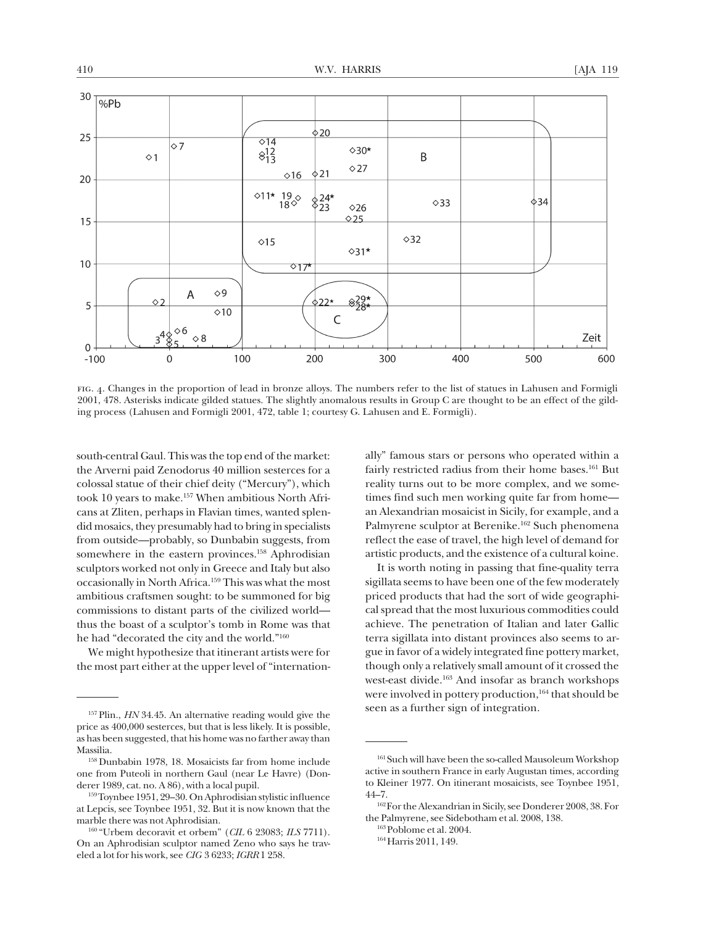

fig. 4. Changes in the proportion of lead in bronze alloys. The numbers refer to the list of statues in Lahusen and Formigli 2001, 478. Asterisks indicate gilded statues. The slightly anomalous results in Group C are thought to be an effect of the gilding process (Lahusen and Formigli 2001, 472, table 1; courtesy G. Lahusen and E. Formigli).

south-central Gaul. This was the top end of the market: the Arverni paid Zenodorus 40 million sesterces for a colossal statue of their chief deity ("Mercury"), which took 10 years to make.<sup>157</sup> When ambitious North Africans at Zliten, perhaps in Flavian times, wanted splendid mosaics, they presumably had to bring in specialists from outside—probably, so Dunbabin suggests, from somewhere in the eastern provinces.<sup>158</sup> Aphrodisian sculptors worked not only in Greece and Italy but also occasionally in North Africa.159 This was what the most ambitious craftsmen sought: to be summoned for big commissions to distant parts of the civilized world thus the boast of a sculptor's tomb in Rome was that he had "decorated the city and the world."160

We might hypothesize that itinerant artists were for the most part either at the upper level of "internationally" famous stars or persons who operated within a fairly restricted radius from their home bases.<sup>161</sup> But reality turns out to be more complex, and we sometimes find such men working quite far from home an Alexandrian mosaicist in Sicily, for example, and a Palmyrene sculptor at Berenike.162 Such phenomena reflect the ease of travel, the high level of demand for artistic products, and the existence of a cultural koine*.* 

It is worth noting in passing that fine-quality terra sigillata seems to have been one of the few moderately priced products that had the sort of wide geographical spread that the most luxurious commodities could achieve. The penetration of Italian and later Gallic terra sigillata into distant provinces also seems to argue in favor of a widely integrated fine pottery market, though only a relatively small amount of it crossed the west-east divide.163 And insofar as branch workshops were involved in pottery production,<sup>164</sup> that should be seen as a further sign of integration.

<sup>157</sup> Plin., *HN* 34.45. An alternative reading would give the price as 400,000 sesterces, but that is less likely. It is possible, as has been suggested, that his home was no farther away than Massilia. 158 Dunbabin 1978, 18. Mosaicists far from home include

one from Puteoli in northern Gaul (near Le Havre) (Donderer 1989, cat. no. A 86), with a local pupil.

<sup>159</sup> Toynbee 1951, 29–30. On Aphrodisian stylistic influence at Lepcis, see Toynbee 1951, 32. But it is now known that the marble there was not Aphrodisian.

<sup>160 &</sup>quot;Urbem decoravit et orbem" (*CIL* 6 23083; *ILS* 7711). On an Aphrodisian sculptor named Zeno who says he traveled a lot for his work, see *CIG* 3 6233; *IGRR* 1 258.

<sup>161</sup> Such will have been the so-called Mausoleum Workshop active in southern France in early Augustan times, according to Kleiner 1977. On itinerant mosaicists, see Toynbee 1951, 44–7.

<sup>162</sup> For the Alexandrian in Sicily, see Donderer 2008, 38. For the Palmyrene, see Sidebotham et al. 2008, 138.

<sup>163</sup> Poblome et al. 2004.

<sup>164</sup> Harris 2011, 149.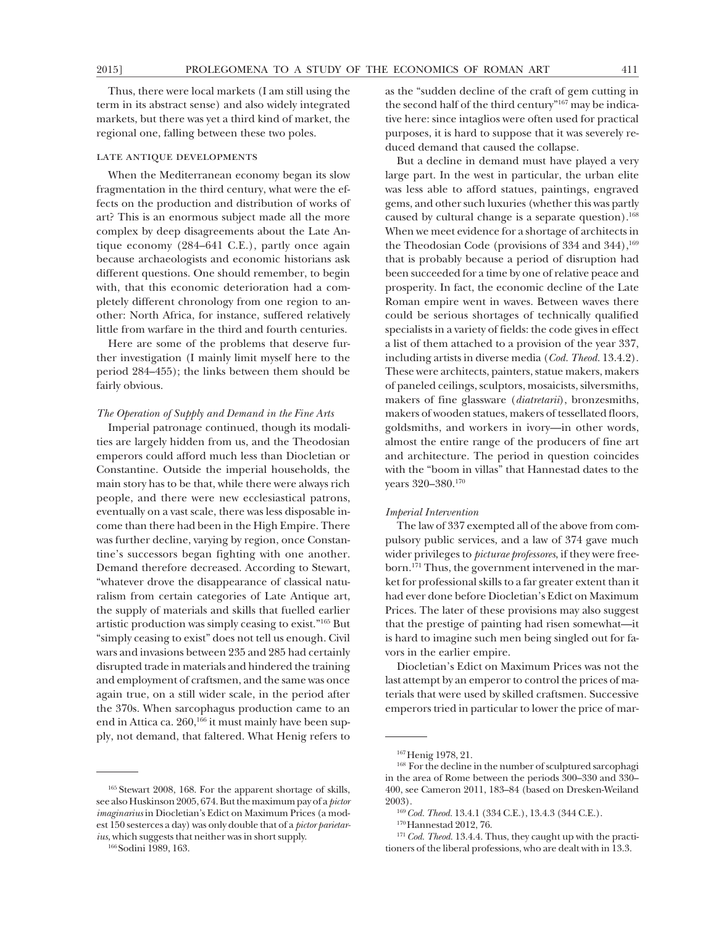Thus, there were local markets (I am still using the term in its abstract sense) and also widely integrated markets, but there was yet a third kind of market, the regional one, falling between these two poles.

## late antique developments

When the Mediterranean economy began its slow fragmentation in the third century, what were the effects on the production and distribution of works of art? This is an enormous subject made all the more complex by deep disagreements about the Late Antique economy (284–641 C.E.), partly once again because archaeologists and economic historians ask different questions. One should remember, to begin with, that this economic deterioration had a completely different chronology from one region to another: North Africa, for instance, suffered relatively little from warfare in the third and fourth centuries.

Here are some of the problems that deserve further investigation (I mainly limit myself here to the period 284–455); the links between them should be fairly obvious.

#### *The Operation of Supply and Demand in the Fine Arts*

Imperial patronage continued, though its modalities are largely hidden from us, and the Theodosian emperors could afford much less than Diocletian or Constantine. Outside the imperial households, the main story has to be that, while there were always rich people, and there were new ecclesiastical patrons, eventually on a vast scale, there was less disposable income than there had been in the High Empire. There was further decline, varying by region, once Constantine's successors began fighting with one another. Demand therefore decreased. According to Stewart, "whatever drove the disappearance of classical naturalism from certain categories of Late Antique art, the supply of materials and skills that fuelled earlier artistic production was simply ceasing to exist."165 But "simply ceasing to exist" does not tell us enough. Civil wars and invasions between 235 and 285 had certainly disrupted trade in materials and hindered the training and employment of craftsmen, and the same was once again true, on a still wider scale, in the period after the 370s. When sarcophagus production came to an end in Attica ca. 260,<sup>166</sup> it must mainly have been supply, not demand, that faltered. What Henig refers to as the "sudden decline of the craft of gem cutting in the second half of the third century"<sup>167</sup> may be indicative here: since intaglios were often used for practical purposes, it is hard to suppose that it was severely reduced demand that caused the collapse.

But a decline in demand must have played a very large part. In the west in particular, the urban elite was less able to afford statues, paintings, engraved gems, and other such luxuries (whether this was partly caused by cultural change is a separate question).<sup>168</sup> When we meet evidence for a shortage of architects in the Theodosian Code (provisions of 334 and 344), $^{169}$ that is probably because a period of disruption had been succeeded for a time by one of relative peace and prosperity. In fact, the economic decline of the Late Roman empire went in waves. Between waves there could be serious shortages of technically qualified specialists in a variety of fields: the code gives in effect a list of them attached to a provision of the year 337, including artists in diverse media (*Cod. Theod.* 13.4.2). These were architects, painters, statue makers, makers of paneled ceilings, sculptors, mosaicists, silversmiths, makers of fine glassware (*diatretarii*), bronzesmiths, makers of wooden statues, makers of tessellated floors, goldsmiths, and workers in ivory—in other words, almost the entire range of the producers of fine art and architecture. The period in question coincides with the "boom in villas" that Hannestad dates to the years 320–380.170

#### *Imperial Intervention*

The law of 337 exempted all of the above from compulsory public services, and a law of 374 gave much wider privileges to *picturae professores*, if they were freeborn.171 Thus, the government intervened in the market for professional skills to a far greater extent than it had ever done before Diocletian's Edict on Maximum Prices. The later of these provisions may also suggest that the prestige of painting had risen somewhat—it is hard to imagine such men being singled out for favors in the earlier empire.

Diocletian's Edict on Maximum Prices was not the last attempt by an emperor to control the prices of materials that were used by skilled craftsmen. Successive emperors tried in particular to lower the price of mar-

<sup>&</sup>lt;sup>165</sup> Stewart 2008, 168. For the apparent shortage of skills, see also Huskinson 2005, 674. But the maximum pay of a *pictor imaginarius* in Diocletian's Edict on Maximum Prices (a modest 150 sesterces a day) was only double that of a *pictor parietarius*, which suggests that neither was in short supply.

<sup>166</sup> Sodini 1989, 163.

 $^{167}\rm{Henig}$  1978, 21.  $^{168}\rm{For}$  the decline in the number of sculptured sarcophagi in the area of Rome between the periods 300–330 and 330– 400, see Cameron 2011, 183–84 (based on Dresken-Weiland 2003). 169 *Cod. Theod.* 13.4.1 (334 C.E.), 13.4.3 (344 C.E.). 170 Hannestad 2012, 76.

<sup>&</sup>lt;sup>171</sup> *Cod. Theod.* 13.4.4. Thus, they caught up with the practitioners of the liberal professions, who are dealt with in 13.3.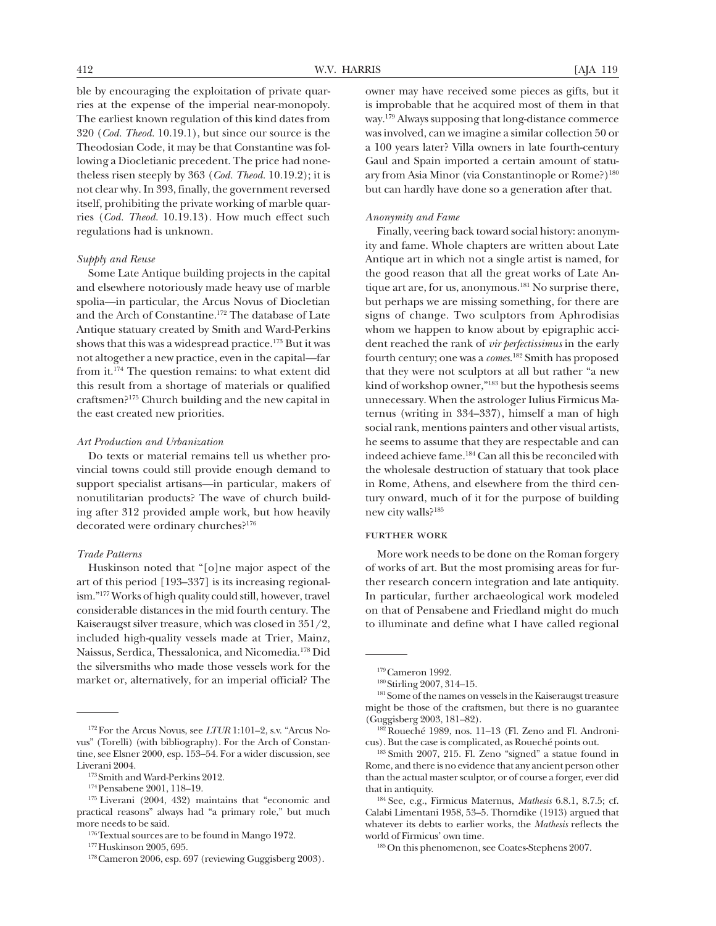ble by encouraging the exploitation of private quarries at the expense of the imperial near-monopoly. The earliest known regulation of this kind dates from 320 (*Cod. Theod.* 10.19.1), but since our source is the Theodosian Code, it may be that Constantine was following a Diocletianic precedent. The price had nonetheless risen steeply by 363 (*Cod. Theod.* 10.19.2); it is not clear why. In 393, finally, the government reversed itself, prohibiting the private working of marble quarries (*Cod. Theod.* 10.19.13). How much effect such regulations had is unknown.

#### *Supply and Reuse*

Some Late Antique building projects in the capital and elsewhere notoriously made heavy use of marble spolia—in particular, the Arcus Novus of Diocletian and the Arch of Constantine.172 The database of Late Antique statuary created by Smith and Ward-Perkins shows that this was a widespread practice.<sup>173</sup> But it was not altogether a new practice, even in the capital—far from it.174 The question remains: to what extent did this result from a shortage of materials or qualified craftsmen?175 Church building and the new capital in the east created new priorities.

## *Art Production and Urbanization*

Do texts or material remains tell us whether provincial towns could still provide enough demand to support specialist artisans—in particular, makers of nonutilitarian products? The wave of church building after 312 provided ample work, but how heavily decorated were ordinary churches?<sup>176</sup>

## *Trade Patterns*

Huskinson noted that "[o]ne major aspect of the art of this period [193–337] is its increasing regionalism."177 Works of high quality could still, however, travel considerable distances in the mid fourth century. The Kaiseraugst silver treasure, which was closed in 351/2, included high-quality vessels made at Trier, Mainz, Naissus, Serdica, Thessalonica, and Nicomedia.178 Did the silversmiths who made those vessels work for the market or, alternatively, for an imperial official? The owner may have received some pieces as gifts, but it is improbable that he acquired most of them in that way.179 Always supposing that long-distance commerce was involved, can we imagine a similar collection 50 or a 100 years later? Villa owners in late fourth-century Gaul and Spain imported a certain amount of statuary from Asia Minor (via Constantinople or Rome?)<sup>180</sup> but can hardly have done so a generation after that.

## *Anonymity and Fame*

Finally, veering back toward social history: anonymity and fame. Whole chapters are written about Late Antique art in which not a single artist is named, for the good reason that all the great works of Late Antique art are, for us, anonymous.<sup>181</sup> No surprise there, but perhaps we are missing something, for there are signs of change. Two sculptors from Aphrodisias whom we happen to know about by epigraphic accident reached the rank of *vir perfectissimus* in the early fourth century; one was a *comes*. 182 Smith has proposed that they were not sculptors at all but rather "a new kind of workshop owner,"183 but the hypothesis seems unnecessary. When the astrologer Iulius Firmicus Maternus (writing in 334–337), himself a man of high social rank, mentions painters and other visual artists, he seems to assume that they are respectable and can indeed achieve fame.184 Can all this be reconciled with the wholesale destruction of statuary that took place in Rome, Athens, and elsewhere from the third century onward, much of it for the purpose of building new city walls?185

## FURTHER WORK

More work needs to be done on the Roman forgery of works of art. But the most promising areas for further research concern integration and late antiquity. In particular, further archaeological work modeled on that of Pensabene and Friedland might do much to illuminate and define what I have called regional

<sup>172</sup> For the Arcus Novus, see *LTUR* 1:101–2, s.v. "Arcus Novus" (Torelli) (with bibliography). For the Arch of Constantine, see Elsner 2000, esp. 153–54. For a wider discussion, see Liverani 2004.

<sup>173</sup> Smith and Ward-Perkins 2012.

<sup>174</sup> Pensabene 2001, 118–19.

<sup>175</sup> Liverani (2004, 432) maintains that "economic and practical reasons" always had "a primary role," but much more needs to be said.

<sup>&</sup>lt;sup>176</sup> Textual sources are to be found in Mango 1972.

<sup>177</sup> Huskinson 2005, 695.

<sup>178</sup> Cameron 2006, esp. 697 (reviewing Guggisberg 2003).

<sup>179</sup> Cameron 1992.

<sup>180</sup> Stirling 2007, 314–15.

<sup>&</sup>lt;sup>181</sup> Some of the names on vessels in the Kaiseraugst treasure might be those of the craftsmen, but there is no guarantee (Guggisberg 2003, 181–82). 182 Roueché 1989, nos. 11–13 (Fl. Zeno and Fl. Androni-

cus). But the case is complicated, as Roueché points out.

<sup>183</sup> Smith 2007, 215. Fl. Zeno "signed" a statue found in Rome, and there is no evidence that any ancient person other than the actual master sculptor, or of course a forger, ever did that in antiquity. 184 See, e.g., Firmicus Maternus, *Mathesis* 6.8.1, 8.7.5; cf.

Calabi Limentani 1958, 53–5. Thorndike (1913) argued that whatever its debts to earlier works, the *Mathesis* reflects the world of Firmicus' own time.

<sup>185</sup> On this phenomenon, see Coates-Stephens 2007.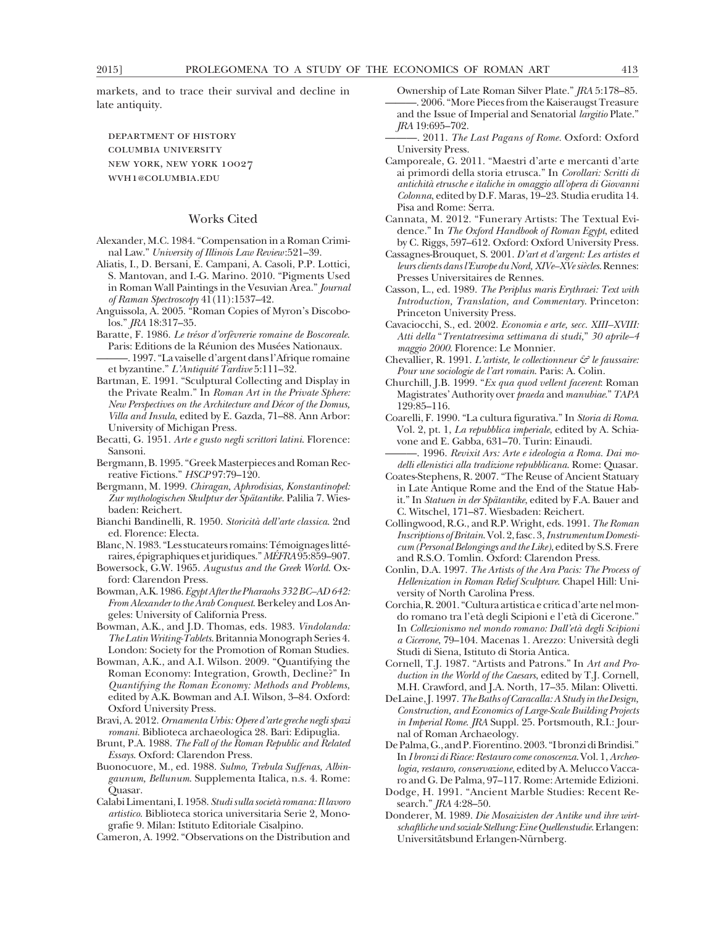markets, and to trace their survival and decline in late antiquity.

department of history columbia university new york, new york 10027 wvh1@columbia.edu

# Works Cited

- Alexander, M.C. 1984. "Compensation in a Roman Criminal Law." *University of Illinois Law Review*:521–39.
- Aliatis, I., D. Bersani, E. Campani, A. Casoli, P.P. Lottici, S. Mantovan, and I.-G. Marino. 2010. "Pigments Used in Roman Wall Paintings in the Vesuvian Area." *Journal of Raman Spectroscopy* 41(11):1537–42.
- Anguissola, A. 2005. "Roman Copies of Myron's Discobolos." *JRA* 18:317–35.
- Baratte, F. 1986. *Le trésor d'orfèvrerie romaine de Boscoreale*. Paris: Editions de la Réunion des Musées Nationaux.
- ———. 1997. "La vaiselle d'argent dans l'Afrique romaine et byzantine." *L'Antiquité Tardive* 5:111–32.
- Bartman, E. 1991. "Sculptural Collecting and Display in the Private Realm." In *Roman Art in the Private Sphere: New Perspectives on the Architecture and Décor of the Domus, Villa and Insula*, edited by E. Gazda, 71–88. Ann Arbor: University of Michigan Press.
- Becatti, G. 1951. *Arte e gusto negli scrittori latini*. Florence: Sansoni.
- Bergmann, B. 1995. "Greek Masterpieces and Roman Recreative Fictions." *HSCP* 97:79–120.
- Bergmann, M. 1999. *Chiragan, Aphrodisias, Konstantinopel: Zur mythologischen Skulptur der Spätantike.* Palilia 7. Wiesbaden: Reichert.
- Bianchi Bandinelli, R. 1950. *Storicità dell'arte classica*. 2nd ed. Florence: Electa.
- Blanc, N. 1983. "Les stucateurs romains: Témoignages littéraires, épigraphiques et juridiques." *MÉFRA* 95:859–907.
- Bowersock, G.W. 1965. *Augustus and the Greek World*. Oxford: Clarendon Press.
- Bowman, A.K. 1986. *Egypt After the Pharaohs 332 BC–AD 642: From Alexander to the Arab Conquest*. Berkeley and Los Angeles: University of California Press.
- Bowman, A.K., and J.D. Thomas, eds. 1983. *Vindolanda: The Latin Writing-Tablets*. Britannia Monograph Series 4. London: Society for the Promotion of Roman Studies.
- Bowman, A.K., and A.I. Wilson. 2009. "Quantifying the Roman Economy: Integration, Growth, Decline?" In *Quantifying the Roman Economy: Methods and Problems*, edited by A.K. Bowman and A.I. Wilson, 3–84. Oxford: Oxford University Press.
- Bravi, A. 2012. *Ornamenta Urbis: Opere d'arte greche negli spazi romani.* Biblioteca archaeologica 28. Bari: Edipuglia.
- Brunt, P.A. 1988. *The Fall of the Roman Republic and Related Essays*. Oxford: Clarendon Press.
- Buonocuore, M., ed. 1988. *Sulmo, Trebula Suffenas, Albingaunum, Bellunum*. Supplementa Italica, n.s. 4. Rome: Quasar.
- Calabi Limentani, I. 1958. *Studi sulla società romana: Il lavoro artistico*. Biblioteca storica universitaria Serie 2, Monografie 9. Milan: Istituto Editoriale Cisalpino.
- Cameron, A. 1992. "Observations on the Distribution and
- Ownership of Late Roman Silver Plate." *JRA* 5:178–85. . 2006. "More Pieces from the Kaiseraugst Treasure and the Issue of Imperial and Senatorial *largitio* Plate." *JRA* 19:695–702.
- ———. 2011. *The Last Pagans of Rome.* Oxford: Oxford University Press.
- Camporeale, G. 2011. "Maestri d'arte e mercanti d'arte ai primordi della storia etrusca." In *Corollari: Scritti di antichità etrusche e italiche in omaggio all'opera di Giovanni Colonna*, edited by D.F. Maras, 19–23. Studia erudita 14. Pisa and Rome: Serra.
- Cannata, M. 2012. "Funerary Artists: The Textual Evidence." In *The Oxford Handbook of Roman Egypt*, edited by C. Riggs, 597–612. Oxford: Oxford University Press.
- Cassagnes-Brouquet, S. 2001. *D'art et d'argent: Les artistes et leurs clients dans l'Europe du Nord, XIVe–XVe siècles*.Rennes: Presses Universitaires de Rennes.
- Casson, L., ed. 1989. *The Periplus maris Erythraei: Text with Introduction, Translation, and Commentary*. Princeton: Princeton University Press.
- Cavaciocchi, S., ed. 2002. *Economia e arte, secc. XIII–XVIII: Atti della* "*Trentatreesima settimana di studi,*" *30 aprile–4 maggio 2000*. Florence: Le Monnier.
- Chevallier, R. 1991. *L'artiste, le collectionneur & le faussaire: Pour une sociologie de l'art romain*. Paris: A. Colin.
- Churchill, J.B. 1999. "*Ex qua quod vellent facerent*: Roman Magistrates' Authority over *praeda* and *manubiae*." *TAPA* 129:85–116.
- Coarelli, F. 1990. "La cultura figurativa." In *Storia di Roma*. Vol. 2, pt. 1, *La repubblica imperiale*, edited by A. Schiavone and E. Gabba, 631–70. Turin: Einaudi.
- ———. 1996. *Revixit Ars: Arte e ideologia a Roma. Dai modelli ellenistici alla tradizione repubblicana*. Rome: Quasar.
- Coates-Stephens, R. 2007. "The Reuse of Ancient Statuary in Late Antique Rome and the End of the Statue Habit." In *Statuen in der Spätantike*, edited by F.A. Bauer and C. Witschel, 171–87. Wiesbaden: Reichert.
- Collingwood, R.G., and R.P. Wright, eds. 1991. *The Roman Inscriptions of Britain*. Vol. 2, fasc. 3, *Instrumentum Domesticum (Personal Belongings and the Like)*, edited by S.S. Frere and R.S.O. Tomlin. Oxford: Clarendon Press.
- Conlin, D.A. 1997. *The Artists of the Ara Pacis: The Process of Hellenization in Roman Relief Sculpture*. Chapel Hill: University of North Carolina Press.
- Corchia, R. 2001. "Cultura artistica e critica d'arte nel mondo romano tra l'età degli Scipioni e l'età di Cicerone." In *Collezionismo nel mondo romano: Dall'età degli Scipioni a Cicerone*, 79–104. Macenas 1. Arezzo: Università degli Studi di Siena, Istituto di Storia Antica.
- Cornell, T.J. 1987. "Artists and Patrons." In *Art and Production in the World of the Caesars*, edited by T.J. Cornell, M.H. Crawford, and J.A. North, 17–35. Milan: Olivetti.
- DeLaine, J. 1997. *The Baths of Caracalla: A Study in the Design, Construction, and Economics of Large-Scale Building Projects in Imperial Rome*. *JRA* Suppl. 25. Portsmouth, R.I.: Journal of Roman Archaeology.
- De Palma, G., and P. Fiorentino. 2003. "I bronzi di Brindisi." In *I bronzi di Riace: Restauro come conoscenza*. Vol. 1, *Archeologia, restauro, conservazione*, edited by A. Melucco Vaccaro and G. De Palma, 97–117. Rome: Artemide Edizioni.
- Dodge, H. 1991. "Ancient Marble Studies: Recent Research." *JRA* 4:28–50.
- Donderer, M. 1989. *Die Mosaizisten der Antike und ihre wirtschaftliche und soziale Stellung: Eine Quellenstudie*. Erlangen: Universitätsbund Erlangen-Nürnberg.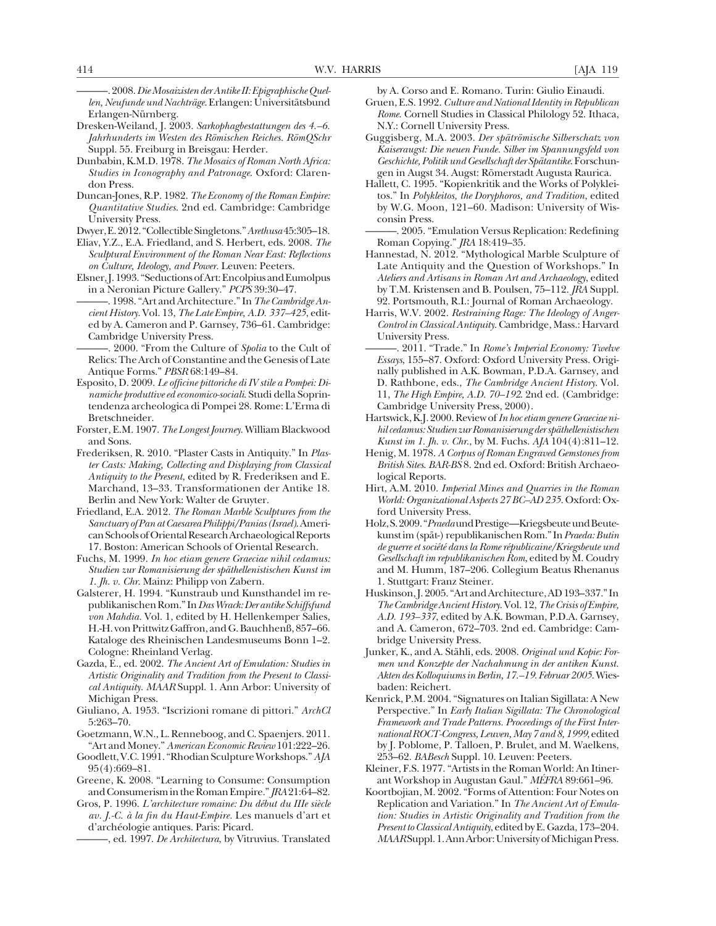———. 2008. *Die Mosaizisten der Antike II: Epigraphische Quellen, Neufunde und Nachträge*. Erlangen: Universitätsbund Erlangen-Nürnberg.

- Dresken-Weiland, J. 2003. *Sarkophagbestattungen des 4.–6. Jahrhunderts im Westen des Römischen Reiches. RömQSchr* Suppl. 55. Freiburg in Breisgau: Herder.
- Dunbabin, K.M.D. 1978. *The Mosaics of Roman North Africa: Studies in Iconography and Patronage*. Oxford: Clarendon Press.
- Duncan-Jones, R.P. 1982. *The Economy of the Roman Empire: Quantitative Studies*. 2nd ed. Cambridge: Cambridge University Press.

Dwyer, E. 2012. "Collectible Singletons." *Arethusa* 45:305–18.

Eliav, Y.Z., E.A. Friedland, and S. Herbert, eds. 2008. *The Sculptural Environment of the Roman Near East: Reflections on Culture, Ideology, and Power.* Leuven: Peeters.

Elsner, J. 1993. "Seductions of Art: Encolpius and Eumolpus in a Neronian Picture Gallery." *PCPS* 39:30–47.

———. 1998. "Art and Architecture." In *The Cambridge Ancient History*. Vol. 13, *The Late Empire, A.D. 337–425*, edited by A. Cameron and P. Garnsey, 736–61. Cambridge: Cambridge University Press.

———. 2000. "From the Culture of *Spolia* to the Cult of Relics: The Arch of Constantine and the Genesis of Late Antique Forms." *PBSR* 68:149–84.

- Esposito, D. 2009. *Le officine pittoriche di IV stile a Pompei: Dinamiche produttive ed economico-sociali*. Studi della Soprintendenza archeologica di Pompei 28. Rome: L'Erma di Bretschneider.
- Forster, E.M. 1907. *The Longest Journey*. William Blackwood and Sons.
- Frederiksen, R. 2010. "Plaster Casts in Antiquity." In *Plaster Casts: Making, Collecting and Displaying from Classical Antiquity to the Present*, edited by R. Frederiksen and E. Marchand, 13–33. Transformationen der Antike 18. Berlin and New York: Walter de Gruyter.
- Friedland, E.A. 2012. *The Roman Marble Sculptures from the Sanctuary of Pan at Caesarea Philippi/Panias (Israel)*.American Schools of Oriental Research Archaeological Reports 17. Boston: American Schools of Oriental Research.
- Fuchs, M. 1999. *In hoc etiam genere Graeciae nihil cedamus: Studien zur Romanisierung der späthellenistischen Kunst im 1. Jh. v. Chr*. Mainz: Philipp von Zabern.
- Galsterer, H. 1994. "Kunstraub und Kunsthandel im republikanischen Rom." In *Das Wrack: Der antike Schiffsfund von Mahdia.* Vol. 1, edited by H. Hellenkemper Salies, H.-H. von Prittwitz Gaffron, and G. Bauchhenß, 857–66. Kataloge des Rheinischen Landesmuseums Bonn 1–2. Cologne: Rheinland Verlag.
- Gazda, E., ed. 2002. *The Ancient Art of Emulation: Studies in Artistic Originality and Tradition from the Present to Classical Antiquity. MAAR* Suppl. 1. Ann Arbor: University of Michigan Press.
- Giuliano, A. 1953. "Iscrizioni romane di pittori." *ArchCl* 5:263–70.
- Goetzmann, W.N., L. Renneboog, and C. Spaenjers. 2011. "Art and Money." *American Economic Review* 101:222–26.
- Goodlett, V.C. 1991. "Rhodian Sculpture Workshops." *AJA* 95(4):669–81.
- Greene, K. 2008. "Learning to Consume: Consumption and Consumerism in the Roman Empire." *JRA* 21:64–82.
- Gros, P. 1996. *L'architecture romaine: Du début du IIIe siècle av. J.-C. à la fin du Haut-Empire.* Les manuels d'art et d'archéologie antiques. Paris: Picard.

———, ed. 1997. *De Architectura*, by Vitruvius. Translated

by A. Corso and E. Romano. Turin: Giulio Einaudi.

- Gruen, E.S. 1992. *Culture and National Identity in Republican Rome*. Cornell Studies in Classical Philology 52. Ithaca, N.Y.: Cornell University Press.
- Guggisberg, M.A. 2003. *Der spätrömische Silberschatz von Kaiseraugst: Die neuen Funde. Silber im Spannungsfeld von Geschichte, Politik und Gesellschaft der Spätantike*. Forschungen in Augst 34. Augst: Römerstadt Augusta Raurica.
- Hallett, C. 1995. "Kopienkritik and the Works of Polykleitos." In *Polykleitos, the Doryphoros, and Tradition*, edited by W.G. Moon, 121–60. Madison: University of Wisconsin Press.
- ———. 2005. "Emulation Versus Replication: Redefining Roman Copying." *JRA* 18:419–35.
- Hannestad, N. 2012. "Mythological Marble Sculpture of Late Antiquity and the Question of Workshops." In *Ateliers and Artisans in Roman Art and Archaeology*, edited by T.M. Kristensen and B. Poulsen, 75–112. *JRA* Suppl. 92. Portsmouth, R.I.: Journal of Roman Archaeology.
- Harris, W.V. 2002. *Restraining Rage: The Ideology of Anger-Control in Classical Antiquity*. Cambridge, Mass.: Harvard University Press.
- ———. 2011. "Trade." In *Rome's Imperial Economy: Twelve Essays*, 155–87. Oxford: Oxford University Press. Originally published in A.K. Bowman, P.D.A. Garnsey, and D. Rathbone, eds., *The Cambridge Ancient History*. Vol. 11, *The High Empire, A.D. 70–192*. 2nd ed. (Cambridge: Cambridge University Press, 2000).
- Hartswick, K.J. 2000. Review of *In hoc etiam genere Graeciae nihil cedamus: Studien zur Romanisierung der späthellenistischen Kunst im 1. Jh. v. Chr*., by M. Fuchs. *AJA* 104(4):811–12.
- Henig, M. 1978. *A Corpus of Roman Engraved Gemstones from British Sites*. *BAR-BS* 8. 2nd ed. Oxford: British Archaeological Reports.
- Hirt, A.M. 2010. *Imperial Mines and Quarries in the Roman World: Organizational Aspects 27 BC–AD 235*. Oxford: Oxford University Press.
- Holz, S. 2009. "*Praeda* und Prestige—Kriegsbeute und Beutekunst im (spät-) republikanischen Rom." In *Praeda: Butin de guerre et société dans la Rome républicaine/Kriegsbeute und Gesellschaft im republikanischen Rom*, edited by M. Coudry and M. Humm, 187–206. Collegium Beatus Rhenanus 1. Stuttgart: Franz Steiner.
- Huskinson, J. 2005. "Art and Architecture, AD 193–337." In *The Cambridge Ancient History*. Vol. 12, *The Crisis of Empire, A.D. 193–337*, edited by A.K. Bowman, P.D.A. Garnsey, and A. Cameron, 672–703. 2nd ed. Cambridge: Cambridge University Press.
- Junker, K., and A. Stähli, eds. 2008. *Original und Kopie: Formen und Konzepte der Nachahmung in der antiken Kunst. Akten des Kolloquiums in Berlin, 17.–19. Februar 2005*. Wiesbaden: Reichert.
- Kenrick, P.M. 2004. "Signatures on Italian Sigillata: A New Perspective." In *Early Italian Sigillata: The Chronological Framework and Trade Patterns. Proceedings of the First International ROCT-Congress, Leuven, May 7 and 8, 1999*, edited by J. Poblome, P. Talloen, P. Brulet, and M. Waelkens, 253–62. *BABesch* Suppl. 10. Leuven: Peeters.
- Kleiner, F.S. 1977. "Artists in the Roman World: An Itinerant Workshop in Augustan Gaul." *MÉFRA* 89:661–96.
- Koortbojian, M. 2002. "Forms of Attention: Four Notes on Replication and Variation." In *The Ancient Art of Emulation: Studies in Artistic Originality and Tradition from the Present to Classical Antiquity*, edited by E. Gazda, 173–204. *MAAR* Suppl. 1. Ann Arbor: University of Michigan Press.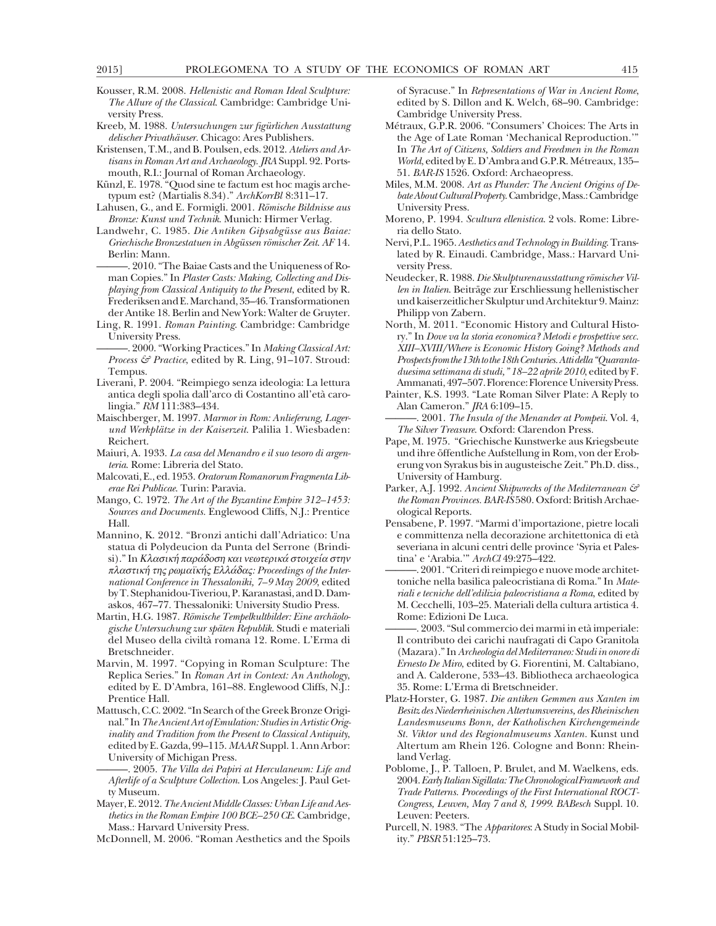- Kousser, R.M. 2008. *Hellenistic and Roman Ideal Sculpture: The Allure of the Classical*. Cambridge: Cambridge University Press.
- Kreeb, M. 1988. *Untersuchungen zur figürlichen Ausstattung delischer Privathäuser.* Chicago: Ares Publishers.
- Kristensen, T.M., and B. Poulsen, eds. 2012. *Ateliers and Artisans in Roman Art and Archaeology*. *JRA* Suppl. 92. Portsmouth, R.I.: Journal of Roman Archaeology.
- Künzl, E. 1978. "Quod sine te factum est hoc magis archetypum est? (Martialis 8.34)." *ArchKorrBl* 8:311–17.
- Lahusen, G., and E. Formigli. 2001. *Römische Bildnisse aus Bronze: Kunst und Technik*. Munich: Hirmer Verlag.
- Landwehr, C. 1985. *Die Antiken Gipsabgüsse aus Baiae: Griechische Bronzestatuen in Abgüssen römischer Zeit*. *AF* 14. Berlin: Mann.
- ———. 2010. "The Baiae Casts and the Uniqueness of Roman Copies." In *Plaster Casts: Making, Collecting and Displaying from Classical Antiquity to the Present*, edited by R. Frederiksen and E. Marchand, 35–46. Transformationen der Antike 18. Berlin and New York: Walter de Gruyter.
- Ling, R. 1991. *Roman Painting*. Cambridge: Cambridge University Press.
- ———. 2000. "Working Practices." In *Making Classical Art: Process & Practice*, edited by R. Ling, 91–107. Stroud: Tempus.
- Liverani, P. 2004. "Reimpiego senza ideologia: La lettura antica degli spolia dall'arco di Costantino all'età carolingia." *RM* 111:383–434.
- Maischberger, M. 1997. *Marmor in Rom: Anlieferung, Lagerund Werkplätze in der Kaiserzeit*. Palilia 1. Wiesbaden: Reichert.
- Maiuri, A. 1933. *La casa del Menandro e il suo tesoro di argenteria*. Rome: Libreria del Stato.
- Malcovati, E., ed. 1953. *Oratorum Romanorum Fragmenta Liberae Rei Publicae*. Turin: Paravia.
- Mango, C. 1972. *The Art of the Byzantine Empire 312–1453: Sources and Documents.* Englewood Cliffs, N.J.: Prentice Hall.
- Mannino, K. 2012. "Bronzi antichi dall'Adriatico: Una statua di Polydeucion da Punta del Serrone (Brindisi)." In Κλασική παράδοση και νεωτερικά στοιχεία στην πλαστική της ρωμαϊκής Ελλάδας*: Proceedings of the International Conference in Thessaloniki, 7–9 May 2009*, edited by T. Stephanidou-Tiveriou, P. Karanastasi, and D. Damaskos, 467–77. Thessaloniki: University Studio Press.
- Martin, H.G. 1987. *Römische Tempelkultbilder: Eine archäologische Untersuchung zur späten Republik*. Studi e materiali del Museo della civiltà romana 12. Rome. L'Erma di Bretschneider.
- Marvin, M. 1997. "Copying in Roman Sculpture: The Replica Series." In *Roman Art in Context: An Anthology*, edited by E. D'Ambra, 161–88. Englewood Cliffs, N.J.: Prentice Hall.
- Mattusch, C.C. 2002. "In Search of the Greek Bronze Original." In *The Ancient Art of Emulation: Studies in Artistic Originality and Tradition from the Present to Classical Antiquity*, edited by E. Gazda, 99–115. *MAAR* Suppl. 1. Ann Arbor: University of Michigan Press.
	- ———. 2005. *The Villa dei Papiri at Herculaneum: Life and Afterlife of a Sculpture Collection*. Los Angeles: J. Paul Getty Museum.
- Mayer, E. 2012. *The Ancient Middle Classes: Urban Life and Aesthetics in the Roman Empire 100 BCE–250 CE*. Cambridge, Mass.: Harvard University Press.
- McDonnell, M. 2006. "Roman Aesthetics and the Spoils

of Syracuse." In *Representations of War in Ancient Rome*, edited by S. Dillon and K. Welch, 68–90. Cambridge: Cambridge University Press.

- Métraux, G.P.R. 2006. "Consumers' Choices: The Arts in the Age of Late Roman 'Mechanical Reproduction.'" In *The Art of Citizens, Soldiers and Freedmen in the Roman World*, edited by E. D'Ambra and G.P.R. Métreaux, 135– 51. *BAR-IS* 1526. Oxford: Archaeopress.
- Miles, M.M. 2008. *Art as Plunder: The Ancient Origins of Debate About Cultural Property*. Cambridge, Mass.: Cambridge University Press.
- Moreno, P. 1994. *Scultura ellenistica*. 2 vols. Rome: Libreria dello Stato.
- Nervi, P.L. 1965. *Aesthetics and Technology in Building*. Translated by R. Einaudi. Cambridge, Mass.: Harvard University Press.
- Neudecker, R. 1988. *Die Skulpturenausstattung römischer Villen in Italien*. Beiträge zur Erschliessung hellenistischer und kaiserzeitlicher Skulptur und Architektur 9. Mainz: Philipp von Zabern.
- North, M. 2011. "Economic History and Cultural History." In *Dove va la storia economica? Metodi e prospettive secc. XIII–XVIII/Where is Economic History Going? Methods and Prospects from the 13th to the 18th Centuries. Atti della "Quarantaduesima settimana di studi," 18–22 aprile 2010*, edited by F. Ammanati, 497–507. Florence: Florence University Press.
- Painter, K.S. 1993. "Late Roman Silver Plate: A Reply to Alan Cameron." *JRA* 6:109–15.
- ———. 2001. *The Insula of the Menander at Pompeii*. Vol. 4, *The Silver Treasure*. Oxford: Clarendon Press.
- Pape, M. 1975. "Griechische Kunstwerke aus Kriegsbeute und ihre öffentliche Aufstellung in Rom, von der Eroberung von Syrakus bis in augusteische Zeit." Ph.D. diss., University of Hamburg.
- Parker, A.J. 1992. *Ancient Shipwrecks of the Mediterranean & the Roman Provinces. BAR-IS* 580. Oxford: British Archaeological Reports.
- Pensabene, P. 1997. "Marmi d'importazione, pietre locali e committenza nella decorazione architettonica di età severiana in alcuni centri delle province 'Syria et Palestina' e 'Arabia.'" *ArchCl* 49:275–422.
- . 2001. "Criteri di reimpiego e nuove mode architettoniche nella basilica paleocristiana di Roma." In *Materiali e tecniche dell'edilizia paleocristiana a Roma*, edited by M. Cecchelli, 103–25. Materiali della cultura artistica 4. Rome: Edizioni De Luca.
- ———. 2003. "Sul commercio dei marmi in età imperiale: Il contributo dei carichi naufragati di Capo Granitola (Mazara)." In *Archeologia del Mediterraneo: Studi in onore di Ernesto De Miro*, edited by G. Fiorentini, M. Caltabiano, and A. Calderone, 533–43. Bibliotheca archaeologica 35. Rome: L'Erma di Bretschneider.
- Platz-Horster, G. 1987. *Die antiken Gemmen aus Xanten im Besitz des Niederrheinischen Altertumsvereins, des Rheinischen Landesmuseums Bonn, der Katholischen Kirchengemeinde St. Viktor und des Regionalmuseums Xanten.* Kunst und Altertum am Rhein 126. Cologne and Bonn: Rheinland Verlag.
- Poblome, J., P. Talloen, P. Brulet, and M. Waelkens, eds. 2004. *Early Italian Sigillata: The Chronological Framework and Trade Patterns. Proceedings of the First International ROCT-Congress, Leuven, May 7 and 8, 1999*. *BABesch* Suppl. 10. Leuven: Peeters.
- Purcell, N. 1983. "The *Apparitores*: A Study in Social Mobility." *PBSR* 51:125–73.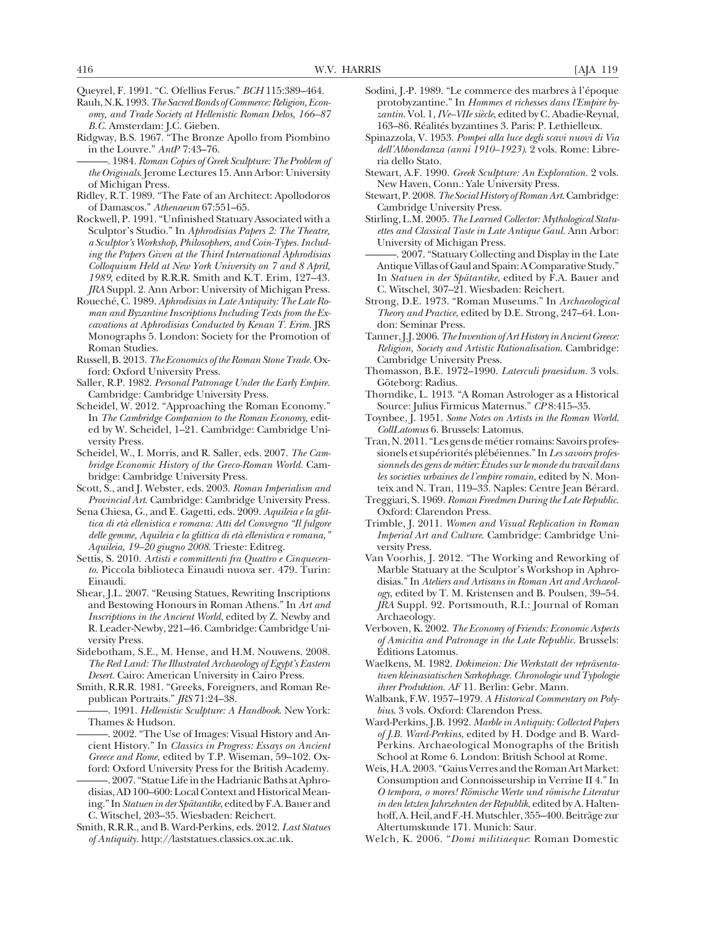Queyrel, F. 1991. "C. Ofellius Ferus." *BCH* 115:389–464.

- Rauh, N.K. 1993. *The Sacred Bonds of Commerce: Religion, Economy, and Trade Society at Hellenistic Roman Delos, 166–87 B.C.* Amsterdam: J.C. Gieben.
- Ridgway, B.S. 1967. "The Bronze Apollo from Piombino in the Louvre." *AntP* 7:43–76.
- ———. 1984. *Roman Copies of Greek Sculpture: The Problem of the Originals*. Jerome Lectures 15. Ann Arbor: University of Michigan Press.
- Ridley, R.T. 1989. "The Fate of an Architect: Apollodoros of Damascos." *Athenaeum* 67:551–65.
- Rockwell, P. 1991. "Unfinished Statuary Associated with a Sculptor's Studio." In *Aphrodisias Papers 2: The Theatre, a Sculptor's Workshop, Philosophers, and Coin-Types. Including the Papers Given at the Third International Aphrodisias Colloquium Held at New York University on 7 and 8 April, 1989*, edited by R.R.R. Smith and K.T. Erim, 127–43. *JRA* Suppl. 2. Ann Arbor: University of Michigan Press.
- Roueché, C. 1989. *Aphrodisias in Late Antiquity: The Late Roman and Byzantine Inscriptions Including Texts from the Excavations at Aphrodisias Conducted by Kenan T. Erim.* JRS Monographs 5. London: Society for the Promotion of Roman Studies.
- Russell, B. 2013. *The Economics of the Roman Stone Trade.* Oxford: Oxford University Press.
- Saller, R.P. 1982. *Personal Patronage Under the Early Empire*. Cambridge: Cambridge University Press.
- Scheidel, W. 2012. "Approaching the Roman Economy." In *The Cambridge Companion to the Roman Economy*, edited by W. Scheidel, 1–21. Cambridge: Cambridge University Press.
- Scheidel, W., I. Morris, and R. Saller, eds. 2007. *The Cambridge Economic History of the Greco-Roman World.* Cambridge: Cambridge University Press.
- Scott, S., and J. Webster, eds. 2003. *Roman Imperialism and Provincial Art*. Cambridge: Cambridge University Press.
- Sena Chiesa, G., and E. Gagetti, eds. 2009. *Aquileia e la glittica di età ellenistica e romana: Atti del Convegno "Il fulgore delle gemme, Aquileia e la glittica di età ellenistica e romana," Aquileia, 19–20 giugno 2008*. Trieste: Editreg.
- Settis, S. 2010. *Artisti e committenti fra Quattro e Cinquecento*. Piccola biblioteca Einaudi nuova ser. 479. Turin: Einaudi.
- Shear, J.L. 2007. "Reusing Statues, Rewriting Inscriptions and Bestowing Honours in Roman Athens." In *Art and Inscriptions in the Ancient World*, edited by Z. Newby and R. Leader-Newby, 221–46*.* Cambridge: Cambridge University Press.
- Sidebotham, S.E., M. Hense, and H.M. Nouwens. 2008. *The Red Land: The Illustrated Archaeology of Egypt's Eastern Desert.* Cairo: American University in Cairo Press.
- Smith, R.R.R. 1981. "Greeks, Foreigners, and Roman Republican Portraits." *JRS* 71:24–38.
	- ———. 1991. *Hellenistic Sculpture: A Handbook*. New York: Thames & Hudson.
	- 2002. "The Use of Images: Visual History and Ancient History." In *Classics in Progress: Essays on Ancient Greece and Rome*, edited by T.P. Wiseman, 59–102. Oxford: Oxford University Press for the British Academy.
- ———. 2007. "Statue Life in the Hadrianic Baths at Aphrodisias, AD 100–600: Local Context and Historical Meaning." In *Statuen in der Spätantike*, edited by F.A. Bauer and C. Witschel, 203–35. Wiesbaden: Reichert.
- Smith, R.R.R., and B. Ward-Perkins, eds. 2012. *Last Statues of Antiquity.* [http://laststatues.classics.ox.ac.uk.](http://laststatues.classics.ox.ac.uk)
- Sodini, J.-P. 1989. "Le commerce des marbres à l'époque protobyzantine." In *Hommes et richesses dans l'Empire byzantin*. Vol. 1, *IVe–VIIe siècle*, edited by C. Abadie-Reynal, 163–86. Réalités byzantines 3. Paris: P. Lethielleux.
- Spinazzola, V. 1953. *Pompei alla luce degli scavi nuovi di Via dell'Abbondanza (anni 1910–1923)*. 2 vols. Rome: Libreria dello Stato.
- Stewart, A.F. 1990. *Greek Sculpture: An Exploration.* 2 vols. New Haven, Conn.: Yale University Press.
- Stewart, P. 2008. *The Social History of Roman Art*. Cambridge: Cambridge University Press.
- Stirling, L.M. 2005. *The Learned Collector: Mythological Statuettes and Classical Taste in Late Antique Gaul.* Ann Arbor: University of Michigan Press.
- . 2007. "Statuary Collecting and Display in the Late Antique Villas of Gaul and Spain: A Comparative Study." In *Statuen in der Spätantike*, edited by F.A. Bauer and C. Witschel, 307–21. Wiesbaden: Reichert.
- Strong, D.E. 1973. "Roman Museums." In *Archaeological Theory and Practice*, edited by D.E. Strong, 247–64*.* London: Seminar Press.
- Tanner, J.J. 2006. *The Invention of Art History in Ancient Greece: Religion, Society and Artistic Rationalisation*. Cambridge: Cambridge University Press.
- Thomasson, B.E. 1972–1990. *Laterculi praesidum.* 3 vols. Göteborg: Radius.
- Thorndike, L. 1913. "A Roman Astrologer as a Historical Source: Julius Firmicus Maternus." *CP* 8:415–35.
- Toynbee, J. 1951. *Some Notes on Artists in the Roman World*. *CollLatomus* 6. Brussels: Latomus.
- Tran, N. 2011. "Les gens de métier romains: Savoirs professionels et supériorités plébéiennes." In *Les savoirs professionnels des gens de métier: Études sur le monde du travail dans les societies urbaines de l'empire romain*, edited by N. Monteix and N. Tran, 119–33. Naples: Centre Jean Bérard.
- Treggiari, S. 1969. *Roman Freedmen During the Late Republic*. Oxford: Clarendon Press.
- Trimble, J. 2011. *Women and Visual Replication in Roman Imperial Art and Culture*. Cambridge: Cambridge University Press.
- Van Voorhis, J. 2012. "The Working and Reworking of Marble Statuary at the Sculptor's Workshop in Aphrodisias." In *Ateliers and Artisans in Roman Art and Archaeology*, edited by T. M. Kristensen and B. Poulsen, 39–54. *JRA* Suppl. 92. Portsmouth, R.I.: Journal of Roman Archaeology.
- Verboven, K. 2002. *The Economy of Friends: Economic Aspects of Amicitia and Patronage in the Late Republic*. Brussels: Éditions Latomus.
- Waelkens, M. 1982. *Dokimeion: Die Werkstatt der repräsentativen kleinasiatischen Sarkophage. Chronologie und Typologie ihrer Produktion*. *AF* 11. Berlin: Gebr. Mann.
- Walbank, F.W. 1957–1979. *A Historical Commentary on Polybius*. 3 vols. Oxford: Clarendon Press.
- Ward-Perkins, J.B. 1992. *Marble in Antiquity: Collected Papers of J.B. Ward-Perkins*, edited by H. Dodge and B. Ward-Perkins. Archaeological Monographs of the British School at Rome 6. London: British School at Rome.
- Weis, H.A. 2003. "Gaius Verres and the Roman Art Market: Consumption and Connoisseurship in Verrine II 4." In *O tempora, o mores! Römische Werte und römische Literatur in den letzten Jahrzehnten der Republik*, edited by A. Haltenhoff, A. Heil, and F.-H. Mutschler, 355–400. Beiträge zur Altertumskunde 171. Munich: Saur.
- Welch, K. 2006. "*Domi militiaeque*: Roman Domestic